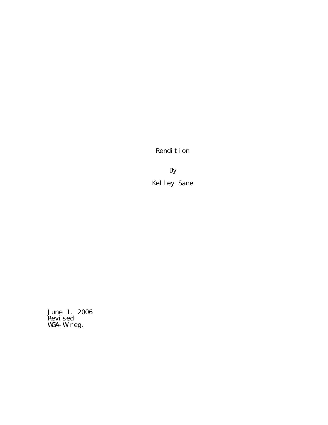Rendition

By Kelley Sane

June 1, 2006 Revi sed WGA-W reg.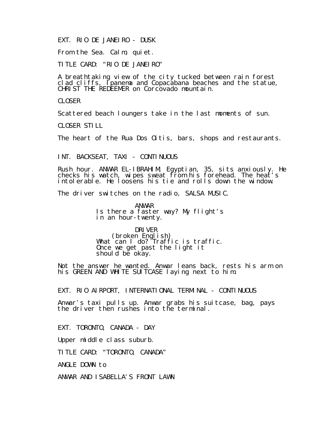EXT. RIO DE JANEIRO - DUSK

From the Sea. Calm, quiet.

TITLE CARD: "RIO DE JANEIRO"

A breathtaking view of the city tucked between rain forest clad cliffs, Ipanema and Copacabana beaches and the statue, CHRIST THE REDEEMER on Corcovado mountain.

CLOSER

Scattered beach loungers take in the last moments of sun.

CLOSER STILL

The heart of the Rua Dos Oitis, bars, shops and restaurants.

INT. BACKSEAT, TAXI - CONTINUOUS

Rush hour. ANWAR EL-IBRAHIM, Egyptian, 35, sits anxiously. He checks his watch, wipes sweat from his forehead. The heat's intolerable. He loosens his tie and rolls down the window.

The driver switches on the radio, SALSA MUSIC.

ANWAR Is there a faster way? My flight's in an hour-twenty.

# DRI VER

(broken English) What can I do? Traffic is traffic. Once we get past the light it should be okay.

Not the answer he wanted. Anwar leans back, rests his arm on his GREEN AND WHITE SUITCASE laying next to him.

EXT. RIO AIRPORT, INTERNATIONAL TERMINAL - CONTINUOUS

Anwar's taxi pulls up. Anwar grabs his suitcase, bag, pays the driver then rushes into the terminal.

EXT. TORONTO, CANADA - DAY

Upper middle class suburb.

TITLE CARD: "TORONTO, CANADA"

ANGLE DOWN to

ANWAR AND ISABELLA'S FRONT LAWN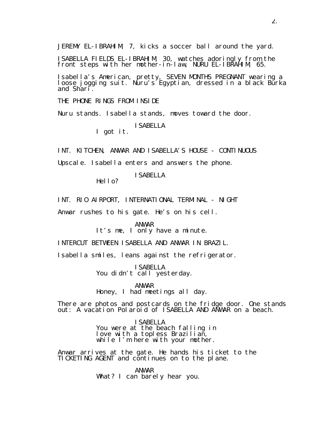JEREMY EL-IBRAHIM, 7, kicks a soccer ball around the yard.

ISABELLA FIELDS EL-IBRAHIM, 30, watches adoringly from the front steps with her mother-in-law, NURU EL-IBRAHIM, 65.

Isabella's American, pretty, SEVEN MONTHS PREGNANT wearing a loose jogging suit. Nuru′s Egyptian, dressed in a black Bŭrka and Shari.

THE PHONE RINGS FROM INSIDE

Nuru stands. Isabella stands, moves toward the door.

ISABELLA

I got it.

INT. KITCHEN, ANWAR AND ISABELLA'S HOUSE - CONTINUOUS

Upscale. Isabella enters and answers the phone.

ISABELLA

Hello?

INT. RIO AIRPORT, INTERNATIONAL TERMINAL - NIGHT

Anwar rushes to his gate. He's on his cell.

ANWAR It's me, I only have a minute.

INTERCUT BETWEEN ISABELLA AND ANWAR IN BRAZIL.

Isabella smiles, leans against the refrigerator.

ISABELLA You didn't call yesterday.

ANWAR

Honey, I had meetings all day.

There are photos and postcards on the fridge door. One stands out: A vacation Polaroid of ISABELLA AND ANWAR on a beach.

> ISABELLA You were at the beach falling in love with a topless Brazilian, while I'm here with your mother.

Anwar arrives at the gate. He hands his ticket to the TICKETING AGENT and continues on to the plane.

> ANWAR What? I can barely hear you.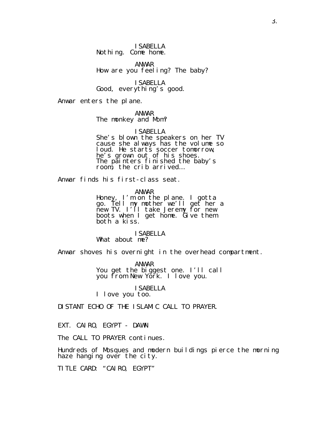ISABELLA Nothing. Come home.

ANWAR How are you feeling? The baby?

ISABELLA Good, everything's good.

Anwar enters the plane.

ANWAR The monkey and Mom?

ISABELLA She's blown the speakers on her TV cause she always has the volume so loud. He starts soccer tomorrow, he's grown out of his shoes. The painters finished the baby's room, the crib arrived…

Anwar finds his first-class seat.

ANWAR

Honey, I'm on the plane. I gotta go. Tell my mother we'll get her a new TV. I'll take Jeremy for new boots when I get home. Give them both a kiss.

ISABELLA What about me?

Anwar shoves his overnight in the overhead compartment.

ANWAR You get the biggest one. I'll call you from New York. I love you.

ISABELLA

I love you too.

DISTANT ECHO OF THE ISLAMIC CALL TO PRAYER.

EXT. CAIRO, EGYPT - DAWN

The CALL TO PRAYER continues.

Hundreds of Mosques and modern buildings pierce the morning haze hanging over the city.

TITLE CARD: "CAIRO, EGYPT"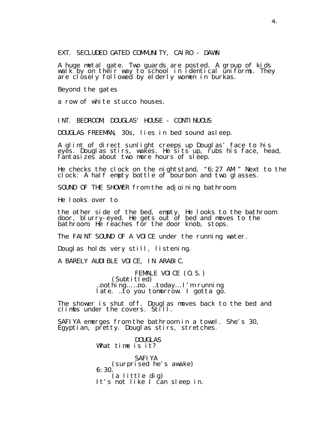EXT. SECLUDED GATED COMMUNITY, CAIRO - DAWN

A huge metal gate. Two guards are posted. A group of kids walk by on thĕir way to school in identical ŭniforms. They are clósely followed by elderly women in burkas.

Beyond the gates

a row of white stucco houses.

INT. BEDROOM, DOUGLAS' HOUSE - CONTINUOUS

DOUGLAS FREEMAN, 30s, lies in bed sound asleep.

A glint of direct sunlight creeps up Douglas' face to his eyes. Douglas stirs, wakes. He sits up, rubs his face, head, fantasizes about two more hours of sleep.

He checks the clock on the nightstand, "6:27 AM." Next to the clock: A half empty bottle of bourbon and two glasses.

SOUND OF THE SHOWER from the adjoining bathroom.

He looks over to

the other side of the bed, empty. He looks to the bathroom door, blurry-eyed. He gets out of bed and moves to the bathroom. Hé réaches fŏr the door knob, stops.

The FAINT SOUND OF A VOICE under the running water.

Douglas holds very still, listening.

A BARELY AUDIBLE VOICE, IN ARABIC.

FEMALE VOICE (0. S.) (Subtitled) …nothing… …no. …today… I'm running late. …ťo you tomorrow. I gotta gõ.

The shower is shut off. Douglas moves back to the bed and climbs under the covers. Still.

SAFIYA emerges from the bathroom in a towel. She's 30, Egyptian, pretty. Douglas stirs, stretches.

> DOUGLAS What time is it? SAFIYA (surprised he's awake) 6:30. (a little dig) It's not like I can sleep in.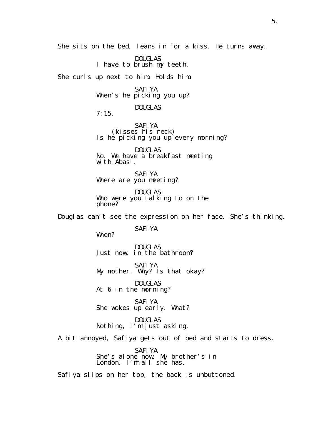She sits on the bed, leans in for a kiss. He turns away.

DOUGLAS I have to brush my teeth.

She curls up next to him. Holds him.

SAFIYA When's he picking you up?

## DOUGLAS

7:15.

SAFIYA (kisses his neck) Is he picking you up every morning?

DOUGLAS No. We have a breakfast meeting with Abasi.

SAFIYA Where are you meeting?

DOUGLAS Who were you talking to on the phone?

Douglas can't see the expression on her face. She's thinking.

SAFIYA

When?

DOUGLAS Just now, in the bathroom?

SAFIYA My mother. Why? Is that okay?

DOUGLAS At 6 in the morning?

SAFIYA She wakes up early. What?

DOUGLAS Nothing, I'm just asking.

A bit annoyed, Safiya gets out of bed and starts to dress.

SAFIYA She's alone now. My brother's in London. I'm all she has.

Safiya slips on her top, the back is unbuttoned.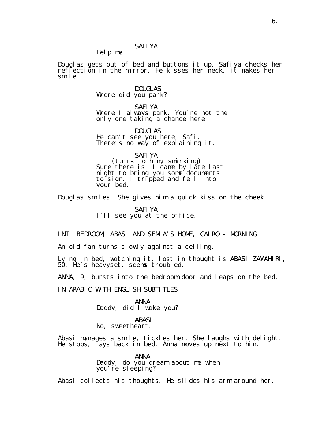Help me.

Douglas gets out of bed and buttons it up. Safiya checks her reflection in the mirror. He kisses her neck, it makes her smile.

> DOUGLAS Where did you park?

SAFIYA Where I always park. You're not the only one taking a chance here.

DOUGLAS He can't see you here, Safi. There's no way of explaining it.

SAFIYA (turns to him, smirking) Sure there is. I came by late last night to bring you some documents to sign. I tripped and fell into your bed.

Douglas smiles. She gives him a quick kiss on the cheek.

SAFIYA I'll see you at the office.

INT. BEDROOM, ABASI AND SEMIA'S HOME, CAIRO - MORNING

An old fan turns slowly against a ceiling.

Lying in bed, watching it, lost in thought is ABASI ZAWAHIRI, 50. He's heavyset, seems troubled.

ANNA, 9, bursts into the bedroom door and leaps on the bed.

IN ARABIC WITH ENGLISH SUBTITLES

ANNA Daddy, did I wake you?

ABASI No, sweetheart.

Abasi manages a smile, tickles her. She laughs with delight. He stops, lays back in bed. Anna moves up next to him.

> ANNA Daddy, do you dream about me when you're sleeping?

Abasi collects his thoughts. He slides his arm around her.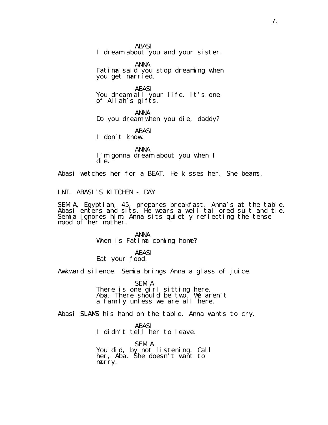ABASI I dream about you and your sister.

ANNA Fatima said you stop dreaming when you get married.

ABASI You dream all your life. It's one of Allah's gifts.

ANNA Do you dream when you die, daddy?

ABASI I don't know.

ANNA I'm gonna dream about you when I die.

Abasi watches her for a BEAT. He kisses her. She beams.

INT. ABASI'S KITCHEN - DAY

SEMIA, Egyptian, 45, prepares breakfast. Anna's at the table. Abasi enters and sits. He wears a well-tailored suit and tie. Semia ignores him. Anna sits quietly reflecting the tense mood of her mother.

> ANNA When is Fatima coming home?

## ABASI

Eat your food.

Awkward silence. Semia brings Anna a glass of juice.

SEMIA

There is one girl sitting here, Aba. There should be two. We aren't a family unless we are all here.

Abasi SLAMS his hand on the table. Anna wants to cry.

### ABASI

I didn't tell her to leave.

SEMIA

You did, by not listening. Call her, Aba. She doesn't want to marry.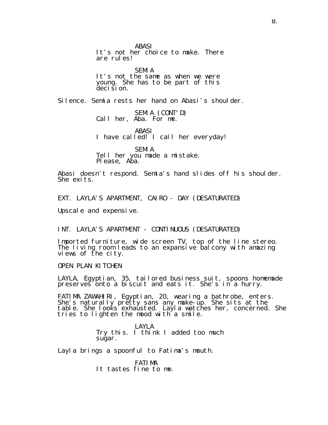ABASI It's not her choice to make. There are rules!

SEMIA

It's not the same as when we were young. She has to be part of this deci ši on.

Silence. Semia rests her hand on Abasi's shoulder.

SEMIA (CONT'D) Call her, Aba. For me.

ABASI I have called! I call her everyday!

SEMIA Tell her you made a mistake. Please, Aba.

Abasi doesn't respond. Semia's hand slides off his shoulder. She exits.

EXT. LAYLA'S APARTMENT, CAIRO - DAY (DESATURATED)

Upscal e and expensive.

INT. LAYLA'S APARTMENT - CONTINUOUS (DESATURATED)

Imported furniture, wide screen TV, top of the line stereo. The living room leads to an expansive balcony with amazing views of the city.

OPEN PLAN KITCHEN

LAYLA, Egyptian, 35, tailored business suit, spoons homemade preserves onto a biscuit and eats it. She's in a hurry.

FATIMA ZAWAHIRI, Egyptian, 20, wearing a bathrobe, enters. She's naturally pretty sans any make-up. She sits at the table. She looks exhausted. Layla watches her, concerned. She tries to lighten the mood with a smile.

> LAYLA Try this. I think I added too much sugar.

Layla brings a spoonful to Fatima's mouth.

FATIMA It tastes fine to me.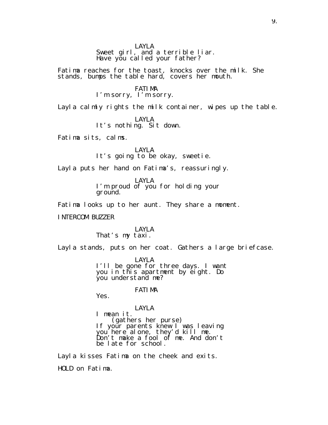LAYLA Sweet girl, and a terrible liar. Have yŏu called your father?

Fatima reaches for the toast, knocks over the milk. She stands, bumps the table hard, covers her mouth.

FATIMA

I'm sorry, I'm sorry.

Layla calmly rights the milk container, wipes up the table.

LAYLA It's nothing. Sit down.

Fatima sits, calms.

LAYLA It's going to be okay, sweetie.

Layla puts her hand on Fatima's, reassuringly.

LAYLA I'm proud of you for holding your ground.

Fatima looks up to her aunt. They share a moment.

INTERCOM BUZZER

LAYLA That's my taxi.

Layla stands, puts on her coat. Gathers a large briefcase.

LAYLA I'll be gone for three days. I want you in this apartment by eight. Do you understand me?

### FATIMA

Yes.

LAYLA I mean it. (gathers her purse) If your parents knew I was leaving you here alone, theydd kill me. Don't make a fool of me. And don't be late for school.

Layla kisses Fatima on the cheek and exits. HOLD on Fatima.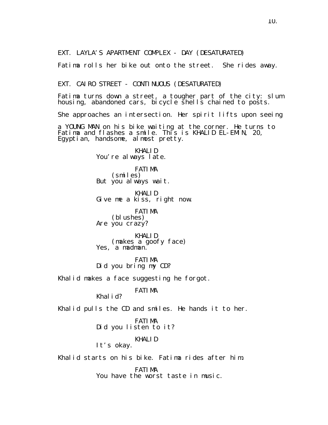EXT. LAYLA'S APARTMENT COMPLEX - DAY (DESATURATED)

Fatima rolls her bike out onto the street. She rides away.

EXT. CAIRO STREET - CONTINUOUS (DESATURATED)

Fatima turns down a street, a tougher part of the city: slum housing, abandoned cars, bicycle šhells chained to pošts.

She approaches an intersection. Her spirit lifts upon seeing

a YOUNG MAN on his bike waiting at the corner. He turns to Fatima and flashes a smile. This is KHALID EL-EMIN, 20, Egyptian, handsome, almost pretty.

> KHALID You're always late.

FATIMA (smiles) But you always wait.

KHALID Give me a kiss, right now.

FATIMA (blushes) Are you crazy?

KHALID (makes a goofy face) Yes, a madman.

FATIMA Did you bring my CD?

Khalid makes a face suggesting he forgot.

FATIMA Khalid?

Khalid pulls the CD and smiles. He hands it to her.

FATIMA Did you listen to it?

KHALID

It's okay.

Khalid starts on his bike. Fatima rides after him.

FATIMA You have the worst taste in music.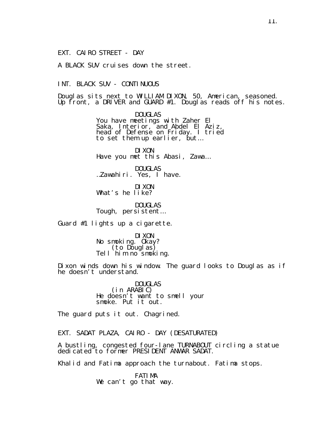EXT. CAIRO STREET - DAY

A BLACK SUV cruises down the street.

## INT. BLACK SUV - CONTINUOUS

Douglas sits next to WILLIAM DIXON, 50, American, seasoned. Up front, a DRIVER and GUARD #1. Douglas reads off his notes.

> DOUGLAS You have meetings with Zaher El Saka, Interior, and Abdel El Aziz, head of Defense on Friday. I tried to set them up earlier, but…

DIXON Have you met this Abasi, Zawa…

DOUGLAS …Zawahiri. Yes, I have.

DIXON What's he like?

DOUGLAS Tough, persistent…

Guard #1 lights up a cigarette.

DIXON No smoking. Okay? (to Douglas) Tell him no smoking.

Dixon winds down his window. The guard looks to Douglas as if he doesn't understand.

> DOUGLAS (in ARABIC) He doesn't want to smell your smoke. Put it out.

The guard puts it out. Chagrined.

EXT. SADAT PLAZA, CAIRO - DAY (DESATURATED)

A bustling, congested four-lane TURNABOUT circling a statue dedicated to former PRESIDENT ANWAR SADAT.

Khalid and Fatima approach the turnabout. Fatima stops.

FATIMA We can't go that way.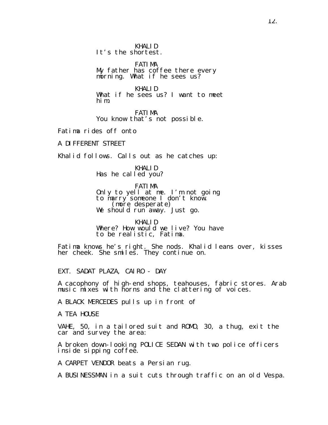KHALID It's the shortest.

FATIMA My father has coffee there every morning. What if he sees us?

KHALID What if he sees us? I want to meet him.

FATIMA You know that's not possible.

Fatima rides off onto

A DIFFERENT STREET

Khalid follows. Calls out as he catches up:

KHALID Has he called you?

FATIMA Only to yell at me. I'm not going to marry someone I don't know. (more desperate) We should run away. Just go.

KHALID Where? How would we live? You have to be realistic, Fatima.

Fatima knows he's right. She nods. Khalid leans over, kisses her cheek. She smiles. They continue on.

EXT. SADAT PLAZA, CAIRO - DAY

A cacophony of high-end shops, teahouses, fabric stores. Arab music mixes with horns and the clattering of voices.

A BLACK MERCEDES pulls up in front of

A TEA HOUSE

VAHE, 50, in a tailored suit and ROMO, 30, a thug, exit the car and survey the area:

A broken down-looking POLICE SEDAN with two police officers inside sipping coffee.

A CARPET VENDOR beats a Persian rug.

A BUSINESSMAN in a suit cuts through traffic on an old Vespa.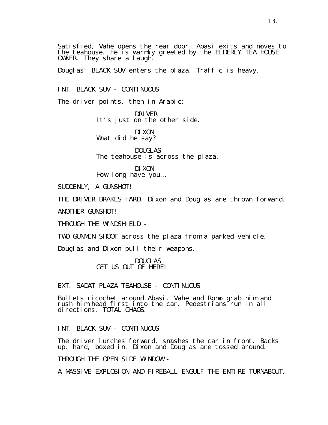Satisfied, Vahe opens the rear door. Abasi exits and moves to the teahouse. He is warmly greeted by the ELDERLY TEA HOUSE OWNER. They share a laugh.

Douglas' BLACK SUV enters the plaza. Traffic is heavy.

INT. BLACK SUV - CONTINUOUS

The driver points, then in Arabic:

DRIVER It's just on the other side.

DIXON What did he say?

DOUGLAS The teahouse is across the plaza.

DIXON How long have you…

SUDDENLY, A GUNSHOT!

THE DRIVER BRAKES HARD. Dixon and Douglas are thrown forward.

ANOTHER GUNSHOT!

THROUGH THE WINDSHIELD -

TWO GUNMEN SHOOT across the plaza from a parked vehicle.

Douglas and Dixon pull their weapons.

DOUGLAS GET US OUT OF HERE!

EXT. SADAT PLAZA TEAHOUSE - CONTINUOUS

Bullets ricochet around Abasi. Vahe and Romo grab him and rush him head first into the car. Pedestrians run in all directions. TOTAL CHAOS.

INT. BLACK SUV - CONTINUOUS

The driver lurches forward, smashes the car in front. Backs up, hard, boxed in. Dixon and Douglas are tossed around.

THROUGH THE OPEN SIDE WINDOW -

A MASSIVE EXPLOSION AND FIREBALL ENGULF THE ENTIRE TURNABOUT.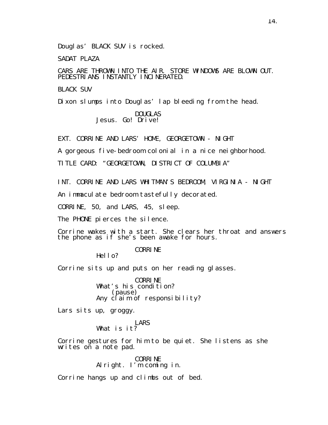Douglas' BLACK SUV is rocked.

SADAT PLAZA

CARS ARE THROWN INTO THE AIR. STORE WINDOWS ARE BLOWN OUT. PEDESTRIANS INSTANTLY INCINERATED.

BLACK SUV

Dixon slumps into Douglas' lap bleeding from the head.

DOUGLAS Jesus. Go! Drive!

EXT. CORRINE AND LARS' HOME, GEORGETOWN - NIGHT

A gorgeous five-bedroom colonial in a nice neighborhood.

TITLE CARD: "GEORGETOWN, DISTRICT OF COLUMBIA"

INT. CORRINE AND LARS WHITMAN'S BEDROOM, VIRGINIA - NIGHT

An immaculate bedroom tastefully decorated.

CORRINE, 50, and LARS, 45, sleep.

The PHONE pierces the silence.

Corrine wakes with a start. She clears her throat and answers the phone as if she's been awake for hours.

CORRINE

Hello?

Corrine sits up and puts on her reading glasses.

CORRINE What's his condition? (pause) Any claim of responsibility?

Lars sits up, groggy.

LARS What is it?

Corrine gestures for him to be quiet. She listens as she writes on a note pad.

> CORRINE Alright. I'm coming in.

Corrine hangs up and climbs out of bed.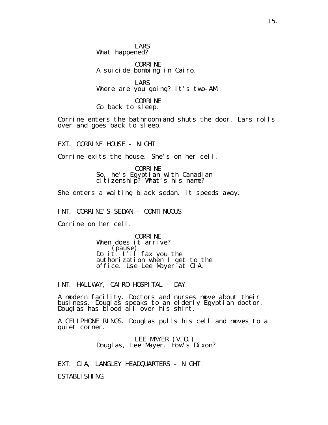LARS What happened?

CORRINE A suicide bombing in Cairo.

LARS Where are you going? It's two-AM.

CORRINE Go back to sleep.

Corrine enters the bathroom and shuts the door. Lars rolls over and goes back to sleep.

EXT. CORRINE HOUSE - NIGHT

Corrine exits the house. She's on her cell.

CORRINE So, he's Egyptian with Canadian citizenship? What′s his name?

She enters a waiting black sedan. It speeds away.

INT. CORRINE'S SEDAN - CONTINUOUS

Corrine on her cell.

CORRINE When does it arrive? (pause) Do it. I'll fax you the authorization when I get to the office. Use Lee Mayer at CIA.

INT. HALLWAY, CAIRO HOSPITAL - DAY

A modern facility. Doctors and nurses move about their business. Douglas speaks to an elderly Egyptian doctor. Douglas has blood all over his shirt.

A CELLPHONE RINGS. Douglas pulls his cell and moves to a quiet corner.

> LEE MAYER (V.O.) Douglas, Lee Mayer. How's Dixon?

EXT. CIA, LANGLEY HEADQUARTERS - NIGHT

ESTABLISHING.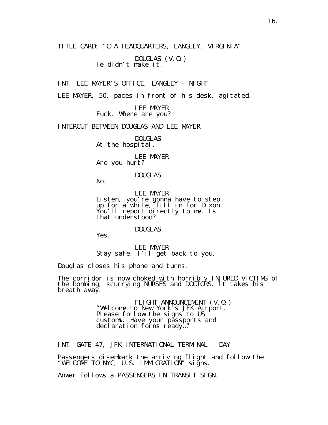TITLE CARD: "CIA HEADQUARTERS, LANGLEY, VIRGINIA"

DOUGLAS (V.O.) He didn't make it.

INT. LEE MAYER'S OFFICE, LANGLEY - NIGHT

LEE MAYER, 50, paces in front of his desk, agitated.

LEE MAYER Fuck. Where are you?

INTERCUT BETWEEN DOUGLAS AND LEE MAYER

DOUGLAS At the hospital.

LEE MAYER Are you hurt?

DOUGLAS

No.

LEE MAYER Listen, you're gonna have to step up for a while, fill in for Dixon. You'll report directly to me. Is that understood?

DOUGLAS

Yes.

LEE MAYER Stay safe. I'll get back to you.

Douglas closes his phone and turns.

The corridor is now choked with horribly INJURED VICTIMS of the bombing, scurrying NURSES and DOCTORS. It takes his breath away.

> FLIGHT ANNOUNCEMENT (V.O.) "Welcome to New York's JFK Airport. Please follow the signs to US customs. Have your passports and declaration forms ready…"

INT. GATE 47, JFK INTERNATIONAL TERMINAL - DAY

Passengers disembark the arriving flight and follow the "WELCOME TO NYC, U.S. IMMIGRATION" signs.

Anwar follows a PASSENGERS IN TRANSIT SIGN.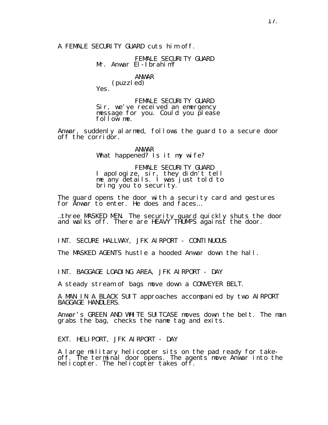A FEMALE SECURITY GUARD cuts him off.

FEMALE SECURITY GUARD Mr. Anwar El-Ibrahim?

> ANWAR (puzzled)

Yes.

FEMALE SECURITY GUARD Sir, we've received an emergency message for you. Could you please follow me.

Anwar, suddenly alarmed, follows the guard to a secure door off the corridor.

> ANWAR What happened? Is it my wife?

FEMALE SECURITY GUARD I apologize, sir, they didn't tell me any details. I was just told to bring you to security.

The guard opens the door with a security card and gestures for Anwar to enter. He does and faces…

…three MASKED MEN. The security guard quickly shuts the door and walks off. There are HEAVY THUMPS against the door.

INT. SECURE HALLWAY, JFK AIRPORT - CONTINUOUS

The MASKED AGENTS hustle a hooded Anwar down the hall.

INT. BAGGAGE LOADING AREA, JFK AIRPORT - DAY

A steady stream of bags move down a CONVEYER BELT.

A MAN IN A BLACK SUIT approaches accompanied by two AIRPORT BAGGAGE HANDLERS.

Anwar's GREEN AND WHITE SUITCASE moves down the belt. The man grabs the bag, checks the name tag and exits.

EXT. HELIPORT, JFK AIRPORT - DAY

A large military helicopter sits on the pad ready for takeoff. The terminal door opens. The agents move Anwar into the helicopter. The helicopter takes off.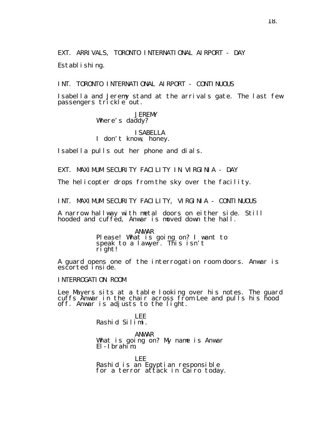EXT. ARRIVALS, TORONTO INTERNATIONAL AIRPORT - DAY Establishing.

INT. TORONTO INTERNATIONAL AIRPORT - CONTINUOUS

Isabella and Jeremy stand at the arrivals gate. The last few passengers trickle out.

## **JEREMY** Where's daddy?

## ISABELLA I don't know, honey.

Isabella pulls out her phone and dials.

EXT. MAXIMUM SECURITY FACILITY IN VIRGINIA - DAY

The helicopter drops from the sky over the facility.

INT. MAXIMUM SECURITY FACILITY, VIRGINIA - CONTINUOUS

A narrow hallway with metal doors on either side. Still hooded and cuffed, Anwar is moved down the hall.

> ANWAR Please! What is going on? I want to speak to a lawyer. This isn't right!

A guard opens one of the interrogation room doors. Anwar is escorted inside.

INTERROGATION ROOM

Lee Mayers sits at a table looking over his notes. The guard cuffs Anwar in the chair across from Lee and pulls his hood off. Anwar is adjusts to the light.

> LEE Rashid Silimi.

ANWAR What is going on? My name is Anwar El-Ibrahim.

LEE Rashid is an Egyptian responsible for a terror attack in Cairo today.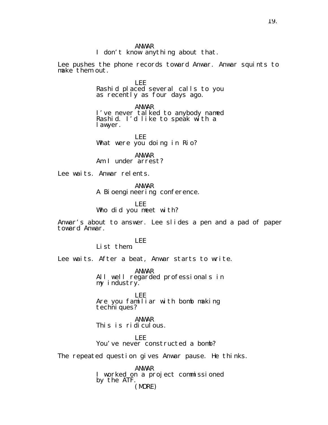I don't know anything about that.

Lee pushes the phone records toward Anwar. Anwar squints to make them out.

> LEE Rashid placed several calls to you as recently as four days ago.

ANWAR I've never talked to anybody named Rashid. I'd like to speak with a lawyer.

LEE What were you doing in Rio?

ANWAR Am I under arrest?

Lee waits. Anwar relents.

ANWAR A Bioengineering conference.

LEE Who did you meet with?

Anwar's about to answer. Lee slides a pen and a pad of paper toward Anwar.

> LEE List them.

Lee waits. After a beat, Anwar starts to write.

ANWAR All well regarded professionals in my industry.

LEE Are you familiar with bomb making techni ques?

ANWAR This is ridiculous.

LEE You've never constructed a bomb?

The repeated question gives Anwar pause. He thinks.

ANWAR I worked on a project commissioned by the ATF. (MORE)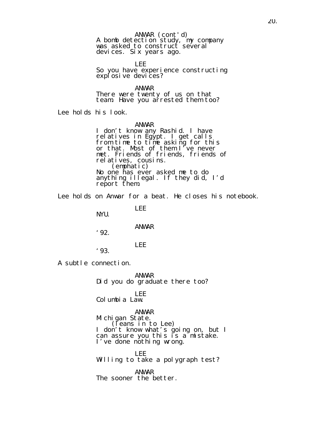A bomb detection study, my company was asked to construct several devices. Six years ago. ANWAR (cont'd)

LEE So you have experience constructing explosive devices?

ANWAR There were twenty of us on that team. Have you arrested them too?

Lee holds his look.

ANWAR

I don't know any Rashid. I have relatives in Egypt. I get calls from time to time asking for this or that. Most of them I've never met. Friends of friends, friends of relatives, cousins. (emphatic) No one has ever asked me to do anything illegal. If they did, I'd report them.

Lee holds on Anwar for a beat. He closes his notebook.

LEE

NYU.

#### ANWAR

 $'92.$ 

### LEE

'93.

A subtle connection.

ANWAR Did you do graduate there too?

#### LEE Col umbi a Law.

ANWAR Michigan State. (leans in to Lee) I don't know what's going on, but I can assure you this is a mistake. I've done nothing wrong.

LEE Willing to take a polygraph test?

ANWAR The sooner the better.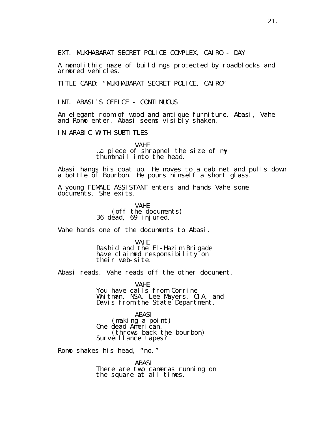EXT. MUKHABARAT SECRET POLICE COMPLEX, CAIRO - DAY

A monolithic maze of buildings protected by roadblocks and armored vehicles.

TITLE CARD: "MUKHABARAT SECRET POLICE, CAIRO"

INT. ABASI'S OFFICE - CONTINUOUS

An elegant room of wood and antique furniture. Abasi, Vahe and Romo enter. Abasi seems visibly shaken.

IN ARABIC WITH SUBTITLES

VAHE …a piece of shrapnel the size of my thumbnail into the head.

Abasi hangs his coat up. He moves to a cabinet and pulls down a bottle of Bourbon. He pours himself a short glass.

A young FEMALE ASSISTANT enters and hands Vahe some documents. She exits.

> VAHE (off the documents) 36 dead, 69 injured.

Vahe hands one of the documents to Abasi.

VAHE Rashid and the El-Hazim Brigade have claimed responsibility on their web-site.

Abasi reads. Vahe reads off the other document.

VAHE You have calls from Corrine Whitman, NSA, Lee Mayers, CIA, and Davis from the State Department.

ABASI (making a point) One dead American. (throws back the bourbon) Surveillance tapes?

Romo shakes his head, "no."

ABASI There are two cameras running on the square at all times.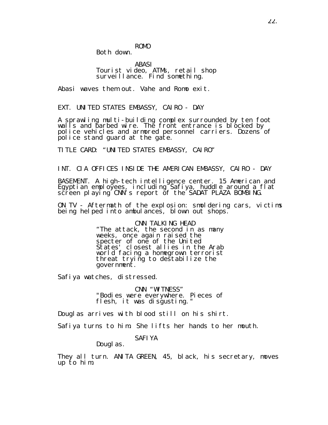ROMO

Both down.

ABASI Tourist video, ATMs, retail shop surveillance. Find something.

Abasi waves them out. Vahe and Romo exit.

EXT. UNITED STATES EMBASSY, CAIRO - DAY

A sprawling multi-building complex surrounded by ten foot walls and barbed wire. The front entrance is blocked by police vehicles and armored personnel carriers. Dozens of police stand guard at the gate.

TITLE CARD: "UNITED STATES EMBASSY, CAIRO"

INT. CIA OFFICES INSIDE THE AMERICAN EMBASSY, CAIRO - DAY

BASEMENT. A high-tech intelligence center. 15 American and Egyptian employees, including Safiya, huddle around a flat screen playing CNN's report of the SADAT PLAZA BOMBING.

ON TV - Aftermath of the explosion: smoldering cars, victims being helped into ambulances, blown out shops.

> CNN TALKING HEAD "The attack, the second in as many weeks, once again raised the specter of one of the United States' closest allies in the Arab world facing a homegrown terrorist threat trying to destabilize the government.

Safiya watches, distressed.

CNN "WITNESS" "Bodies were everywhere. Pieces of flesh, it was disgusting."

Douglas arrives with blood still on his shirt.

Safiya turns to him. She lifts her hands to her mouth.

SAFIYA

Douglas.

They all turn. ANITA GREEN, 45, black, his secretary, moves up to him.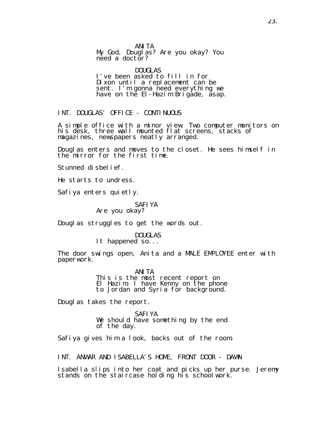ANITA My God, Douglas? Are you okay? You need a doctor?

DOUGLAS I've been asked to fill in for Dixon until a replacement can be sent. I'm gonna need everything we have on the El-Hazim Brigade, asap.

INT. DOUGLAS' OFFICE - CONTINUOUS

A simple office with a minor view. Two computer monitors on his desk, three wall mounted flat screens, stacks of magazines, newspapers neatly arranged.

Douglas enters and moves to the closet. He sees himself in the mirror for the first time.

Stunned disbelief.

He starts to undress.

Safiya enters quietly.

SAFIYA Are you okay?

Douglas struggles to get the words out.

#### DOUGLAS

It happened so...

The door swings open, Anita and a MALE EMPLOYEE enter with paperwork.

> ANITA This is the most recent report on El Hazim. I have Kenny on the phone to Jordan and Syria for background.

Douglas takes the report.

SAFIYA We should have something by the end of the day.

Safiya gives him a look, backs out of the room.

INT. ANWAR AND ISABELLA'S HOME, FRONT DOOR - DAWN

Isabella slips into her coat and picks up her purse. Jeremy stands on the staircase holding his schoolwork.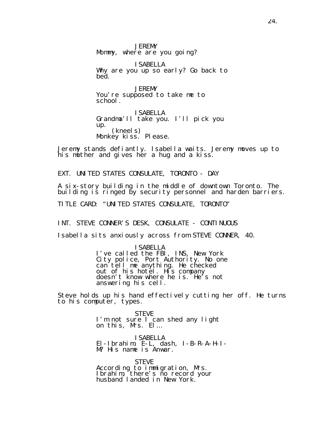JEREMY Mommy, where are you going?

ISABELLA Why are you up so early? Go back to bed.

JEREMY You're supposed to take me to school.

ISABELLA Grandma'll take you. I'll pick you up. (kneels) Monkey kiss. Please.

Jeremy stands defiantly. Isabella waits. Jeremy moves up to his mother and gives her a hug and a kiss.

EXT. UNITED STATES CONSULATE, TORONTO - DAY

A six-story building in the middle of downtown Toronto. The building iš ringed by security personnel and harden barriers.

TITLE CARD: "UNITED STATES CONSULATE, TORONTO"

INT. STEVE CONNER'S DESK, CONSULATE - CONTINUOUS

Isabella sits anxiously across from STEVE CONNER, 40.

ISABELLA I've called the FBI, INS, New York City police, Port Authority. No one can tell me anything. He checked out of his hotel. His company doesn't know where he is. He's not answering his cell.

Steve holds up his hand effectively cutting her off. He turns to his computer, types.

> STEVE I'm not sure I can shed any light on this, Mrs. El…

ISABELLA El-Ibrahim. E-L, dash, I-B-R-A-H-I-M? His name is Anwar.

STEVE According to immigration, Mrs. Ibrahim, there's no record your husband landed in New York.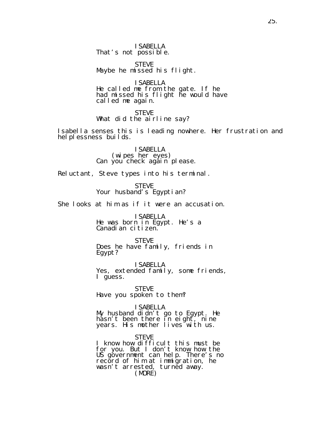ISABELLA That's not possible.

STEVE Maybe he missed his flight.

ISABELLA He called me from the gate. If he had missed his flight he would have called me again.

STEVE What did the airline say?

Isabella senses this is leading nowhere. Her frustration and helplessness builds.

> ISABELLA (wipes her eyes) Can you check again please.

Reluctant, Steve types into his terminal.

STEVE Your husband's Egyptian?

She looks at him as if it were an accusation.

ISABELLA He was born in Egypt. He's a Canadi an citizen.

STEVE Does he have family, friends in Egypt?

ISABELLA Yes, extended family, some friends, I guess.

STEVE Have you spoken to them?

### ISABELLA

My husband didn't go to Egypt. He hásn't been there in eighť, nine years. His mother lives with us.

STEVE I know how difficult this must be for you. But I don't know how the US government can help. There's no record of him at immigration, he wasn't arrested, turned away. (MORE)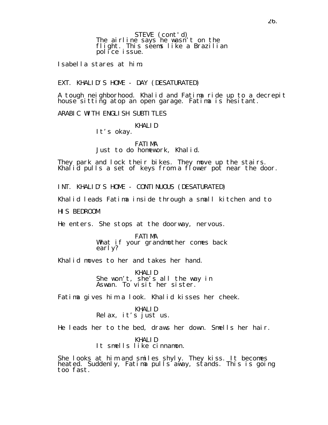The airline says he wasn't on the flight. This seems like a Brazilian police issue. STEVE (cont'd)

Isabella stares at him.

EXT. KHALID'S HOME - DAY (DESATURATED)

A tough neighborhood. Khalid and Fatima ride up to a decrepit house sitting atop an open garage. Fatima is hesitant.

ARABIC WITH ENGLISH SUBTITLES

### KHALID

It's okay.

## FATIMA Just to do homework, Khalid.

They park and lock their bikes. They move up the stairs. Khalid pulls a set of keys from a flower pot near the door.

INT. KHALID'S HOME - CONTINUOUS (DESATURATED)

Khalid leads Fatima inside through a small kitchen and to

HIS BEDROOM

He enters. She stops at the doorway, nervous.

FATIMA What if your grandmother comes back early?

Khalid moves to her and takes her hand.

KHALID She won't, she's all the way in Aswan. To visit her sister.

Fatima gives him a look. Khalid kisses her cheek.

KHALID Relax, it's just us.

He leads her to the bed, draws her down. Smells her hair.

KHALID It smells like cinnamon.

She looks at him and smiles shyly. They kiss. It becomes heated. Suddenly, Fatima pulls̃aw̃ay, st̃ands. This is going too fast.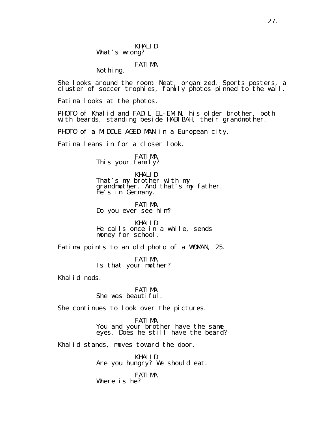KHALID What's wrong?

FATIMA

Nothing.

She looks around the room: Neat, organized. Sports posters, a cluster of soccer trophies, family photos pinned to the wall.

Fatima looks at the photos.

PHOTO of Khalid and FADIL EL-EMIN, his older brother, both with beards, standing beside HABIBAH, their grandmother.

PHOTO of a MIDDLE AGED MAN in a European city.

Fatima leans in for a closer look.

FATIMA This your family?

KHALID That's my brother with my grandmother. And that's my father. He's in Germany.

FATIMA Do you ever see him?

KHALID He calls once in a while, sends money for school.

Fatima points to an old photo of a WOMAN, 25.

FATIMA Is that your mother?

Khalid nods.

FATIMA She was beautiful.

She continues to look over the pictures.

FATIMA You and your brother have the same eyes. Does he still have the beard?

Khalid stands, moves toward the door.

KHALID Are you hungry? We should eat.

FATIMA Where is he?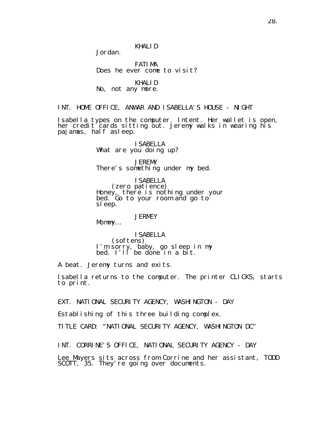KHALID

Jordan.

FATIMA Does he ever come to visit?

KHALID No, not any more.

INT. HOME OFFICE, ANWAR AND ISABELLA'S HOUSE - NIGHT

Isabella types on the computer. Intent. Her wallet is open, her credit cards sitting out. Jeremy walks in wearing his pajamas, half asleep.

> ISABELLA What are you doing up?

**JEREMY** There's something under my bed.

ISABELLA (zero patience) Honey, there is nothing under your bed. Go to your room and go to sleep.

### **JERMEY**

Mommy…

ISABELLA (softens) I'm sorry, baby, go sleep in my bed. I'll be done in a bit.

A beat. Jeremy turns and exits.

Isabella returns to the computer. The printer CLICKS, starts to print.

EXT. NATIONAL SECURITY AGENCY, WASHINGTON - DAY

Establishing of this three building complex.

TITLE CARD: "NATIONAL SECURITY AGENCY, WASHINGTON DC"

INT. CORRINE'S OFFICE, NATIONAL SECURITY AGENCY - DAY

Lee Mayers sits across from Corrine and her assistant, TODD SCOTT, 35. They're going over documents.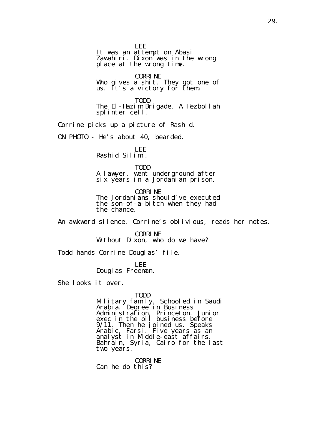LEE

It was an attempt on Abasi Zawahiri. Dixon was in the wrong place at the wrong time.

CORRINE Who gives a shit. They got one of us. It's a victory for them.

TODD The El-Hazim Brigade. A Hezbollah splinter cell.

Corrine picks up a picture of Rashid.

ON PHOTO - He's about 40, bearded.

LEE Rashid Silimi.

TODD A lawyer, went underground after six years in a Jordanian prison.

CORRINE The Jordanians should've executed the son-of-a-bitch when they had the chance.

An awkward silence. Corrine's oblivious, reads her notes.

CORRINE Without Dixon, who do we have?

Todd hands Corrine Douglas' file.

LEE Douglas Freeman.

She looks it over.

TODD

Military family. Schooled in Saudi Arabia. Degree in Business Administration, Princeton. Junior exec in the oil business before 9/11. Then he joined us. Speaks Arabic, Farsi. Five years as an analyst in Middle-east affairs. Bahrain, Syria, Cairo for the last two years.

CORRINE Can he do this?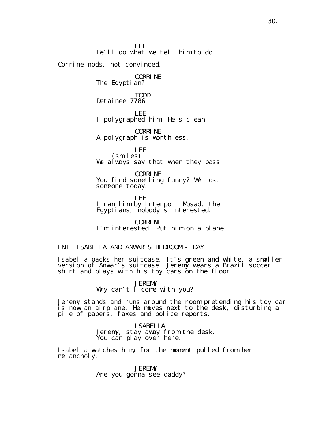LEE He'll do what we tell him to do. Corrine nods, not convinced. CORRINE The Egyptian? TODD Detainee 7786. LEE I polygraphed him. He's clean. CORRINE A polygraph is worthless. LEE (smiles) We always say that when they pass. CORRINE You find something funny? We lost someone today. LEE I ran him by Interpol, Mosad, the Egyptians, nobody's interested. CORRINE

I'm interested. Put him on a plane.

INT. ISABELLA AND ANWAR'S BEDROOM - DAY

Isabella packs her suitcase. It's green and white, a smaller version of Anwar's suitcase. Jeremy wears a Brazil soccer shirt and plays with his toy cars on the floor.

**JEREMY** 

Why can't I come with you?

Jeremy stands and runs around the room pretending his toy car is now an airplane. He moves next to the desk, disturbing a pile of papers, faxes and police reports.

> ISABELLA Jeremy, stay away from the desk. You can play over here.

Isabella watches him, for the moment pulled from her mel ancholy.

> **JEREMY** Are you gonna see daddy?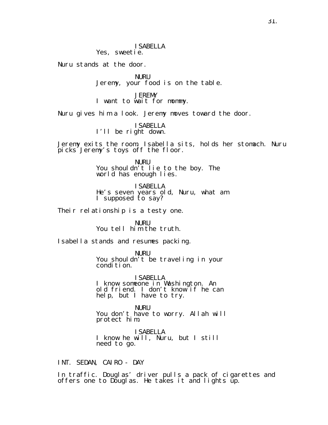Nuru stands at the door.

NURU Jeremy, your food is on the table.

JEREMY I want to wait for mommy.

Nuru gives him a look. Jeremy moves toward the door.

ISABELLA I'll be right down.

Jeremy exits the room. Isabella sits, holds her stomach. Nuru picks Jeremy's toys off the floor.

> NURU You shouldn't lie to the boy. The world has enough lies.

ISABELLA He's seven years old, Nuru, what am I supposed to say?

Their relationship is a testy one.

NURU You tell him the truth.

Isabella stands and resumes packing.

NURU You shouldn't be traveling in your condi ti on.

ISABELLA I know someone in Washington. An old friend. I don't know if he can help, but I have to try.

NURU You don't have to worry. Allah will protect him.

ISABELLA I know he will, Nuru, but I still need to go.

INT. SEDAN, CAIRO - DAY

In traffic. Douglas' driver pulls a pack of cigarettes and offers one to Douglas. He takes it and lights up.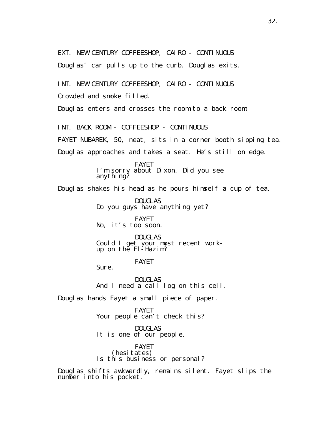EXT. NEW CENTURY COFFEESHOP, CAIRO - CONTINUOUS Douglas' car pulls up to the curb. Douglas exits. INT. NEW CENTURY COFFEESHOP, CAIRO - CONTINUOUS Crowded and smoke filled. Douglas enters and crosses the room to a back room. INT. BACK ROOM - COFFEESHOP - CONTINUOUS FAYET NUBAREK, 50, neat, sits in a corner booth sipping tea. Douglas approaches and takes a seat. He's still on edge. FAYET I'm sorry about Dixon. Did you see anything? Douglas shakes his head as he pours himself a cup of tea. DOUGLAS Do you guys have anything yet? FAYET No, it's too soon. DOUGLAS Could I get your most recent workup on the El-Hazim? FAYET Sure. DOUGLAS And I need a call log on this cell. Douglas hands Fayet a small piece of paper. FAYET Your people can't check this? DOUGLAS It is one of our people. FAYET (hesi tates) Is this business or personal? Douglas shifts awkwardly, remains silent. Fayet slips the number into his pocket.

32.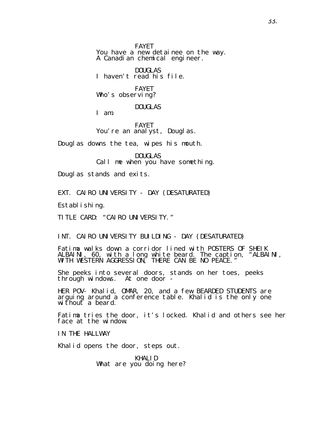FAYET You have a new detainee on the way. A Canadian chemical engineer.

DOUGLAS I haven't read his file.

FAYET Who's observing?

DOUGLAS

I am.

FAYET You're an analyst, Douglas.

Douglas downs the tea, wipes his mouth.

DOUGLAS Call me when you have something.

Douglas stands and exits.

EXT. CAIRO UNIVERSITY - DAY (DESATURATED)

Establishing.

TITLE CARD: "CAIRO UNIVERSITY."

INT. CAIRO UNIVERSITY BUILDING - DAY (DESATURATED)

Fatima walks down a corridor lined with POSTERS OF SHEIK ALBAINI, 60, with a long white beard. The caption, "ALBAINI, WITH WESTERN AGGRESSION, THERE CAN BE NO PEACE."

She peeks into several doors, stands on her toes, peeks through windows. At one door -

HER POV- Khalid, OMAR, 20, and a few BEARDED STUDENTS are arguing around a conference table. Khalid is the only one wiťhouť a beard.

Fatima tries the door, it's locked. Khalid and others see her face at the window.

IN THE HALLWAY

Khalid opens the door, steps out.

KHALID What are you doing here?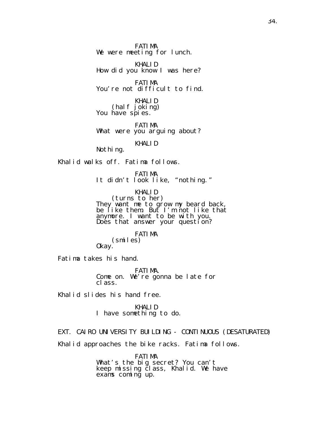FATIMA We were meeting for lunch.

KHALID How did you know I was here?

FATIMA You're not difficult to find.

KHALID  $(half joking)$ You have spies.

FATIMA What were you arguing about?

KHALID

Nothing.

Khalid walks off. Fatima follows.

FATIMA It didn't look like, "nothing."

KHALID (turns to her) They want me to grow my beard back, be like them. But I'm not like that anymore. I want to be with you. Does that answer your question?

FATIMA (smiles) Okay.

Fatima takes his hand.

FATIMA. Come on. We're gonna be late for class.

Khalid slides his hand free.

KHALID I have something to do.

EXT. CAIRO UNIVERSITY BUILDING - CONTINUOUS (DESATURATED)

Khalid approaches the bike racks. Fatima follows.

FATIMA What's the big secret? You can't keep missing class, Khalid. We have exams coming up.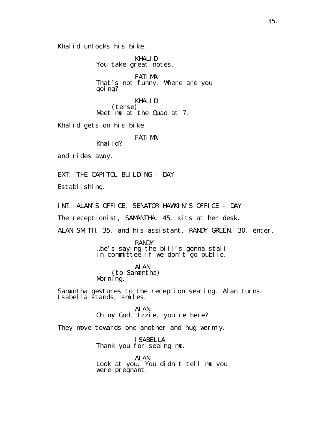Khalid unlocks his bike.

KHALID You take great notes. FATIMA That's not funny. Where are you going?

KHALID (terse) Meet me at the Quad at 7.

Khalid gets on his bike

FATIMA Khalid?

and rides away.

EXT. THE CAPITOL BUILDING - DAY

Establ i shing.

INT. ALAN'S OFFICE, SENATOR HAWKIN'S OFFICE - DAY

The receptionist, SAMANTHA, 45, sits at her desk.

ALAN SMITH, 35, and his assistant, RANDY GREEN, 30, enter.

RANDY …he's saying the bill's gonna stall in committeĕif we don′t ̃go public.

ALAN (to Samantha) Morni<sup>'</sup>ng.

Samantha gestures to the reception seating. Alan turns. Isabella stands, smiles.

> ALAN Oh my God, Izzie, you're here?

They move towards one another and hug warmly.

ISABELLA Thank you for seeing me.

ALAN Look at you. You didn't tell me you were pregnant.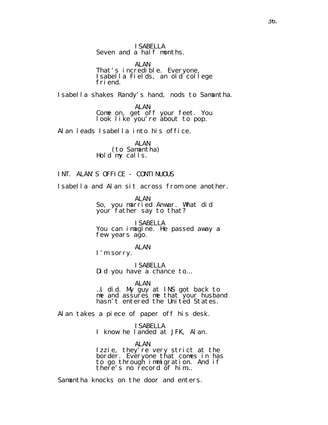ISABELLA Seven and a half months.

ALAN That's incredible. Everyone, Isabella Fields, an old college friend.

Isabella shakes Randy's hand, nods to Samantha.

ALAN Come on, get off your feet. You look like you're about to pop.

Alan leads Isabella into his office.

ALAN (to Samantha) Hold my calls.

INT. ALAN'S OFFICE - CONTINUOUS

Isabella and Alan sit across from one another.

ALAN So, you married Anwar. What did your father say to that?

ISABELLA You can imagine. He passed away a few years ago.

ALAN

I'm sorry.

ISABELLA Did you have a chance to…

ALAN

…I did. My guy at INS got back to me and assures me that your husband hasn't entered the United States.

Alan takes a piece of paper off his desk.

ISABELLA

I know he landed at JFK, Alan.

AI AN

Izzie, they're very strict at the border. Everyone that comes in has to go through immigration. And if there's no record of him...

Samantha knocks on the door and enters.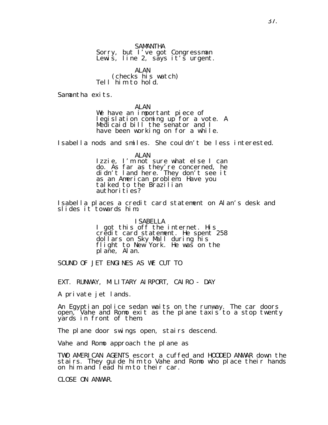SAMANTHA Sorry, but I've got Congressman Lewiš, line 2, săys it'š urgent.

ALAN (checks his watch) Tell him to hold.

Samantha exits.

ALAN We have an important piece of legislation coming up for a vote. A Medicaid bill the senator and I have been working on for a while.

Isabella nods and smiles. She couldn't be less interested.

ALAN Izzie, I'm not sure what else I can do. As far as they're concerned, he didn't land here. They don't see it as an American problem. Have you talked to the Brazilian authori ties?

Isabella places a credit card statement on Alan's desk and slides it towards him.

> ISABELLA I got this off the internet. His credit card statement. He spent 258 dollars on Sky Mall during his flight to New York. He was on the plane, Alan.

SOUND OF JET ENGINES AS WE CUT TO

EXT. RUNWAY, MILITARY AIRPORT, CAIRO - DAY

A private jet lands.

An Egyptian police sedan waits on the runway. The car doors open, Vahe and Romo exit as the plane taxis to a stop twenty yards in front of them.

The plane door swings open, stairs descend.

Vahe and Romo approach the plane as

TWO AMERICAN AGENTS escort a cuffed and HOODED ANWAR down the stairs. They guide him to Vahe and Romo who place their hands on him and lead him to their car.

CLOSE ON ANWAR.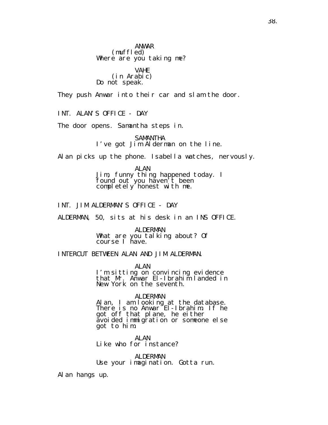ANWAR (muffled) Where are you taking me?

### VAHE (in Arabic) Do not speak.

They push Anwar into their car and slam the door.

INT. ALAN'S OFFICE - DAY

The door opens. Samantha steps in.

# **SAMANTHA** I've got Jim Alderman on the line.

Alan picks up the phone. Isabella watches, nervously.

ALAN Jim, funny thing happened today. I found out you haven't been completely honest with me.

INT. JIM ALDERMAN'S OFFICE - DAY

ALDERMAN, 50, sits at his desk in an INS OFFICE.

ALDERMAN What are you talking about? Of course I have.

INTERCUT BETWEEN ALAN AND JIM ALDERMAN.

ALAN

I'm sitting on convincing evidence that Mr. Anwar El-Ibrahim landed in New York on the seventh.

#### ALDERMAN

Alan, I am looking at the database. There is no Anwar El-Ibrahim. If he got off that plane, he either avoided immigration or someone else got to him.

ALAN Like who for instance?

ALDERMAN Use your imagination. Gotta run.

Alan hangs up.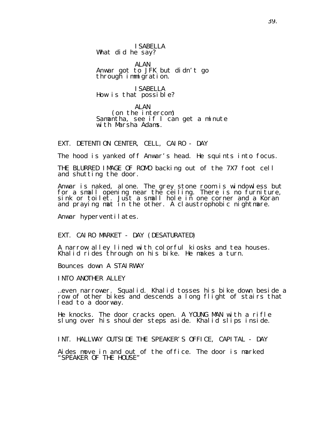ISABELLA What did he say?

ALAN Anwar got to JFK but didn't go through immigration.

ISABELLA How is that possible?

ALAN (on the intercom) Samantha, see if I can get a minute with Marsha Adams.

EXT. DETENTION CENTER, CELL, CAIRO - DAY

The hood is yanked off Anwar's head. He squints into focus.

THE BLURRED IMAGE OF ROMO backing out of the 7X7 foot cell and shutting the door.

Anwar is naked, alone. The grey stone room is windowless but for a small opening near the celling. There is no furniture, sink or toilet. Just a small hole in one corner and a Koran and praying mat in the other. A claustrophobic nightmare.

Anwar hyperventilates.

EXT. CAIRO MARKET - DAY (DESATURATED)

A narrow alley lined with colorful kiosks and tea houses. Khalid rides through on his bike. He makes a turn.

Bounces down A STAIRWAY

INTO ANOTHER ALLEY

…even narrower. Squalid. Khalid tosses his bike down beside a row of other bikes and descends a long flight of stairs that lead to a doorway.

He knocks. The door cracks open. A YOUNG MAN with a rifle slung over his shoulder steps aside. Khalid slips inside.

INT. HALLWAY OUTSIDE THE SPEAKER'S OFFICE, CAPITAL - DAY

Aides move in and out of the office. The door is marked "SPEAKER OF THE HOUSE"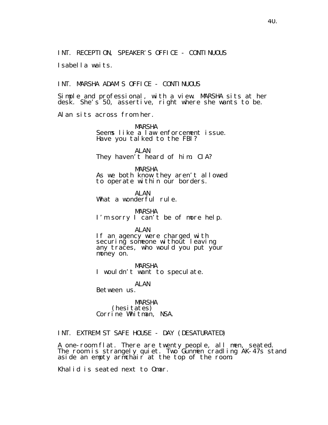Isabella waits.

INT. MARSHA ADAM'S OFFICE - CONTINUOUS

Simple and professional, with a view. MARSHA sits at her desk. She's 50, assertive, right where she wants to be.

Alan sits across from her.

MARSHA Seems like a law enforcement issue. Have you talked to the FBI?

ALAN They haven't heard of him. CIA?

MARSHA As we both know they aren't allowed to operate within our borders.

AI AN What a wonderful rule.

MARSHA I'm sorry I can't be of more help.

ALAN

If an agency were charged with securing someone without leaving any traces, who would you put your money on.

MARSHA I wouldn't want to speculate.

ALAN Between us.

MARSHA (hesi tates)

Corrine Whitman, NSA.

INT. EXTREMIST SAFE HOUSE - DAY (DESATURATED)

A one-room flat. There are twenty people, all men, seated. The room is strangely quiet. Two Gunmen cradling AK-47s stand aside an empty armchair at the top of the room.

Khalid is seated next to Omar.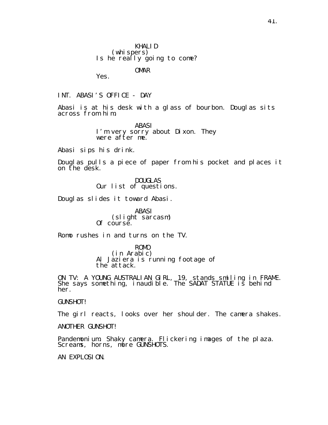# OMAR

Yes.

INT. ABASI'S OFFICE - DAY

Abasi is at his desk with a glass of bourbon. Douglas sits across from him.

> ABASI I'm very sorry about Dixon. They were after me.

Abasi sips his drink.

Douglas pulls a piece of paper from his pocket and places it on the desk.

> DOUGLAS Our list of questions.

Douglas slides it toward Abasi.

ABASI (slight sarcasm) Of course.

Romo rushes in and turns on the TV.

ROMO (in Arabic) Al Jaziera is running footage of the attack.

ON TV: A YOUNG AUSTRALIAN GIRL, 19, stands smiling in FRAME. She says something, inaudible. The SADAT STATUE iš behind her.

GUNSHOT!

The girl reacts, looks over her shoulder. The camera shakes.

ANOTHER GUNSHOT!

Pandemonium. Shaky camera. Flickering images of the plaza. Screams, horns, more GUNSHOTS.

AN EXPLOSION.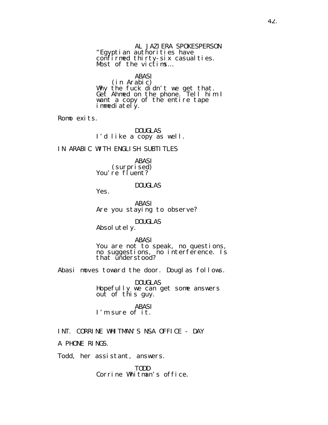AL JAZIERA SPOKESPERSON "Egyptian authorities have confirmed thirty-six casualties. Most of the victims…

ABASI

(in Arabic) Why the fuck didn't we get that. Get Ahmed on the phone. Tell him I want a copy of the entire tape immediately.

Romo exits.

DOUGLAS I'd like a copy as well.

IN ARABIC WITH ENGLISH SUBTITLES

ABASI (surprised) You're fluent?

DOUGLAS

Yes.

ABASI Are you staying to observe?

DOUGLAS

Absolutely.

ABASI

You are not to speak, no questions, no suggestions, no interference. Is that understood?

Abasi moves toward the door. Douglas follows.

DOUGLAS Hopefully we can get some answers out of this guy.

#### ABASI I'm sure of it.

INT. CORRINE WHITMAN'S NSA OFFICE - DAY

A PHONE RINGS.

Todd, her assistant, answers.

TODD Corrine Whitman's office.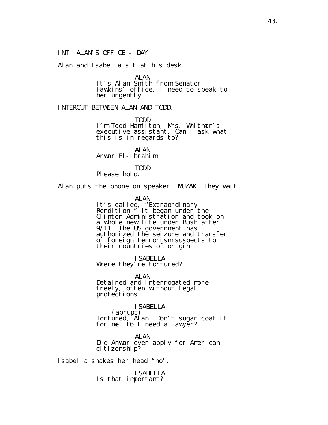INT. ALAN'S OFFICE - DAY

Alan and Isabella sit at his desk.

ALAN

It's Alan Smith from Senator Hawkins' office. I need to speak to her urgently.

INTERCUT BETWEEN ALAN AND TODD.

TODD I'm Todd Hamilton, Mrs. Whitman's executive assistant. Can I ask what this is in regards to?

ALAN Anwar El-Ibrahim.

TODD Please hold.

Alan puts the phone on speaker. MUZAK. They wait.

ALAN

It's called, "Extraordinary Rendition." It began under the Clinton Administration and took on a whole new life under Bush after 9/11. The US government has authorized thĕ seizure and transfer of foreign terrorism suspects to their countries of origin.

ISABELLA Where they're tortured?

ALAN Detained and interrogated more freely, often without legal protections.

ISABELLA (abrupt) Tortured, Alan. Don't sugar coat it for me. Do I need a lawyer?

ALAN Did Anwar ever apply for American ci ti zenshi p?

Isabella shakes her head "no".

ISABELLA Is that important?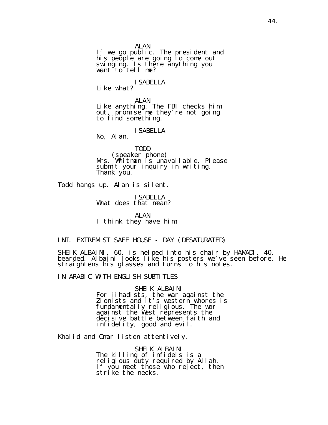ALAN

If we go public. The president and his people are going to come out swinging. Is there anything you want to tell me?

# ISABELLA

Like what?

ALAN Like anything. The FBI checks him out, promise me they're not going to find something.

#### ISABELLA

No, Alan.

TODD (speaker phone) Mrs. Whitman is unavailable. Please submit your inquiry in writing. Thank you.

Todd hangs up. Alan is silent.

ISABELLA What does that mean?

AI AN I think they have him.

INT. EXTREMIST SAFE HOUSE - DAY (DESATURATED)

SHEIK ALBAINI, 60, is helped into his chair by HAMADI, 40, bearded. Albaini looks like his posters we've seen before. He straightens his glasses and turns to his notes.

IN ARABIC WITH ENGLISH SUBTITLES

SHEIK ALBAINI For jihadists, the war against the Zionists and it's western whores is fundamentally religious. The war against the West represents the decisive battle between faith and infidelity, good and evil.

Khalid and Omar listen attentively.

SHEIK ALBAINI The killing of infidels is a religious duty required by Allah. If you meet those who reject, then strike the necks.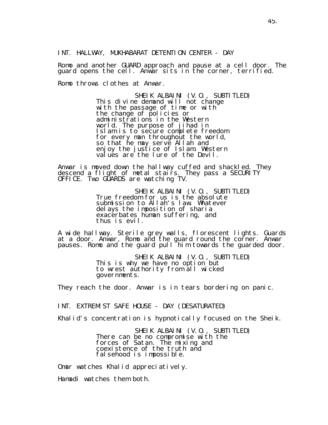INT. HALLWAY, MUKHABARAT DETENTION CENTER - DAY

Romo and another GUARD approach and pause at a cell door. The guard opens the cell. Anwar sits in the corner, terrified.

Romo throws clothes at Anwar.

SHEIK ALBAINI (V.O., SUBTITLED) This divine demand will not change with the passage of time or with the change of policies or administrations in the Western world. The purpose of jihad in Islam is to secure complete freedom for every man throughout the world, so that he may serve Allah and enjoy the justice of Islam. Western values are the lure of the Devil.

Anwar is moved down the hallway cuffed and shackled. They descend a flight of metal staiřs. They pass a SECURITY OFFICE. Two GUARDS are watching TV.

> SHEIK ALBAINI (V.O., SUBTITLED) True freedom for us is the absolute submission to Allah's law. Whatever delays the imposition of sharia exacerbates human suffering, and thus is evil.

A wide hallway. Sterile grey walls, florescent lights. Guards at a door. Anwar, Romo and the guard round the corner. Anwar pauses. Romo and the guard pull him towards the guarded door.

> SHEIK ALBAINI (V.O., SUBTITLED) This is why we have no option but to wrest aŭthority from all wicked governments.

They reach the door. Anwar is in tears bordering on panic.

INT. EXTREMIST SAFE HOUSE - DAY (DESATURATED)

Khalid's concentration is hypnotically focused on the Sheik.

SHEIK ALBAINI (V.O., SUBTITLED) There can be no compromise with the forces of Satan. The mixing and coexistence of the truth and falsehood is impossible.

Omar watches Khalid appreciatively.

Hamadi watches them both.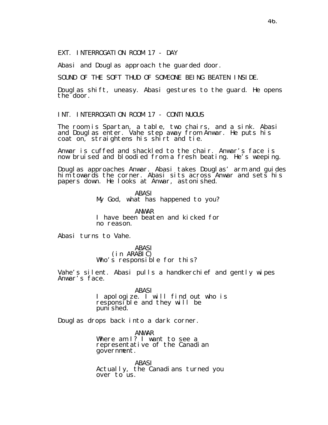EXT. INTERROGATION ROOM 17 - DAY

Abasi and Douglas approach the guarded door.

SOUND OF THE SOFT THUD OF SOMEONE BEING BEATEN INSIDE.

Douglas shift, uneasy. Abasi gestures to the guard. He opens the door.

INT. INTERROGATION ROOM 17 - CONTINUOUS

The room is Spartan, a table, two chairs, and a sink. Abasi and Douglas enter. Vahe step away from Anwar. He puts his coat on, straightens his shirt and tie.

Anwar is cuffed and shackled to the chair. Anwar's face is now bruised and bloodied from a fresh beating. He's weeping.

Douglas approaches Anwar. Abasi takes Douglas' arm and guides him towards the corner. Abasi sits across Anwar and sets his papers down. He looks at Anwar, astonished.

> ABASI My God, what has happened to you?

> ANWAR I have been beaten and kicked for no reason.

Abasi turns to Vahe.

ABASI (in ARABIC) Who's responsible for this?

Vahe's silent. Abasi pulls a handkerchief and gently wipes Anwar's face.

> ABASI I apologize. I will find out who is responsible and they will be puni shed.

Douglas drops back into a dark corner.

ANWAR Where am 1? I want to see a representative of the Canadian government.

ABASI Actually, the Canadians turned you over to us.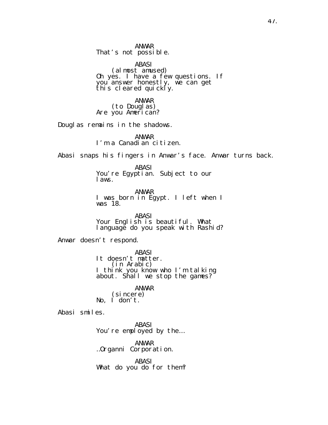ANWAR That's not possible.

ABASI (almost amused) Oh yes. I have a féw questions. If you answer honestly, we can get this cleared quickly.

ANWAR (to Douglas) Are you American?

Douglas remains in the shadows.

ANWAR I'm a Canadian citizen.

Abasi snaps his fingers in Anwar's face. Anwar turns back.

ABASI You're Egyptian. Subject to our laws.

ANWAR I was born in Egypt. I left when I was 18.

ABASI Your English is beautiful. What language do you speak with Rashid?

Anwar doesn't respond.

ABASI It doesn't matter. (in Arabic) I think you know who I'm talking about. Shall we stop the games?

ANWAR (sincere) No,  $\overrightarrow{I}$  don't.

Abasi smiles.

ABASI You're employed by the...

ANWAR …Organni Corporation.

ABASI What do you do for them?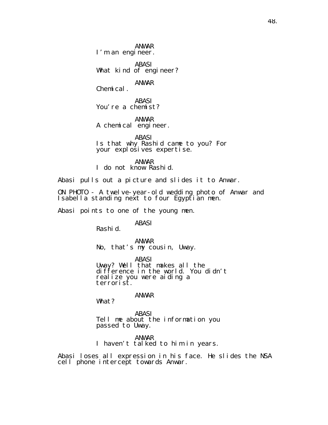ANWAR I'm an engineer.

ABASI What kind of engineer?

ANWAR

Chemical.

ABASI You're a chemist?

ANWAR A chemical engineer.

ABASI Is that why Rashid came to you? For your explosives expertise.

ANWAR I do not know Rashid.

Abasi pulls out a picture and slides it to Anwar.

ON PHOTO - A twelve-year-old wedding photo of Anwar and Isabella standing next to four Egyptian men.

Abasi points to one of the young men.

ABASI

Rashid.

ANWAR No, that's my cousin, Uway.

ABASI Uway? Well that makes all the difference in the world. You didn't realize you were aiding a terrorist.

ANWAR

What?

ABASI Tell me about the information you passed to Uway.

ANWAR I haven't talked to him in years.

Abasi loses all expression in his face. He slides the NSA cell phone intercept towards Anwar.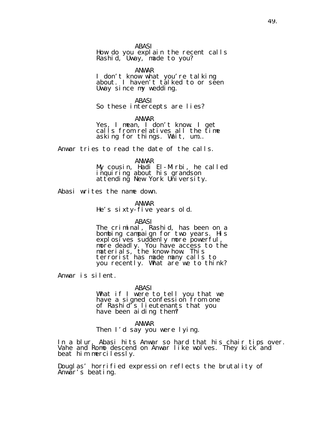ABASI

How do you explain the recent calls Rashid, Uway, made to you?

ANWAR

I don't know what you're talking about. I haven't tălked to or sĕen Uway since my wedding.

ABASI So these intercepts are lies?

ANWAR

Yes, I mean, I don't know. I get calls from relatives all the time asking for things. Wait, um…

Anwar tries to read the date of the calls.

ANWAR

My cousin, Hadi El-Mirbi, he called inquiring about his grandson attendinğ New York University.

Abasi writes the name down.

ANWAR

He's sixty-five years old.

ABASI

The criminal, Rashid, has been on a bombing campaign for two years. His explosives suddenly more powerful, more deadly. You have access to the materials, the know-how. This terrorist has made many calls to you recently. What are we to think?

Anwar is silent.

#### ABASI

What if I were to tell you that we have a signed confession from one of Rashid's lieutenants that you have been aiding them?

#### ANWAR

Then I'd say you were lying.

In a blur, Abasi hits Anwar so hard that his chair tips over. Vahe and Romo descend on Anwar like wolves. They kick and beat him mercilessly.

Douglas' horrified expression reflects the brutality of Anwar's beating.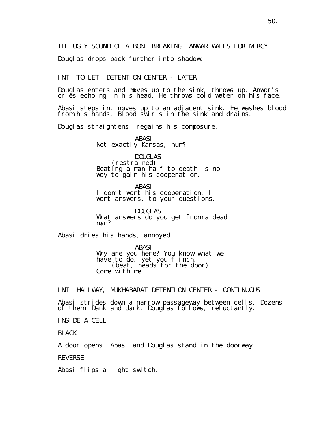THE UGLY SOUND OF A BONE BREAKING. ANWAR WAILS FOR MERCY.

Douglas drops back further into shadow.

INT. TOILET, DETENTION CENTER - LATER

Douglas enters and moves up to the sink, throws up. Anwar's cries echoing in his head. He throws cold water on his face.

Abasi steps in, moves up to an adjacent sink. He washes blood from his hands. Blood swirls in the sink and drains.

Douglas straightens, regains his composure.

ABASI Not exactly Kansas, hum?

DOUGLAS (restrained) Beating a man half to death is no way to gain his cooperation.

ABASI I don't want his cooperation, I want answers, to your questions.

DOUGLAS What answers do you get from a dead man?

Abasi dries his hands, annoyed.

ABASI

Why are you here? You know what we have to do, yet you flinch. (beat, heads for the door) Come with me.

INT. HALLWAY, MUKHABARAT DETENTION CENTER - CONTINUOUS

Abasi strides down a narrow passageway between cells. Dozens of them. Dank and dark. Douglas follows, reluctantly.

INSIDE A CELL

BLACK

A door opens. Abasi and Douglas stand in the doorway.

REVERSE

Abasi flips a light switch.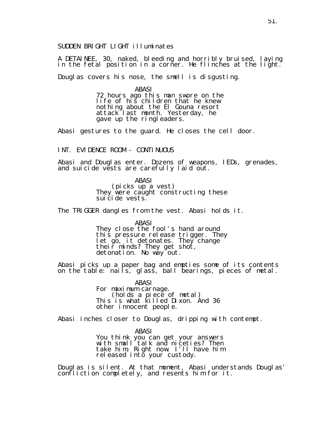SUDDEN BRIGHT LIGHT illuminates

A DETAINEE, 30, naked, bleeding and horribly bruised, laying in the fetal position in a corner. He flinches at the light.

Douglas covers his nose, the smell is disgusting.

ABASI 72 hours ago this man swore on the life of his children that he knew nothing about the El Gouna resort attack last month. Yesterday, he gave up the ringleaders.

Abasi gestures to the guard. He closes the cell door.

INT. EVIDENCE ROOM - CONTINUOUS

Abasi and Douglas enter. Dozens of weapons, IEDs, grenades, and suicide vests are carefully laid out.

> ABASI (picks up a vest) They were caught constructing these suicide vests.

The TRIGGER dangles from the vest. Abasi holds it.

ABASI They close the fool's hand around this pressure release trigger. They let go, it detonates. They change their minds? They get shot, detonation. No way out.

Abasi picks up a paper bag and empties some of its contents on the table: nails, glass, ball bearings, pieces of metal.

ABASI

For maximum carnage. (holds a piece of metal) This is what killed Dixon. And 36 other innocent people.

Abasi inches closer to Douglas, dripping with contempt.

ABASI You think you can get your answers with small talk and niceties? Then take him. Right now. I'll have him released into your custody.

Douglas is silent. At that moment, Abasi understands Douglas' confliction completely, and resents him for it.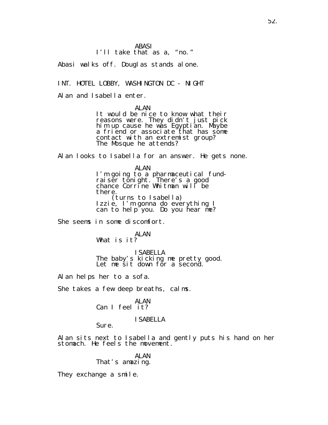# I'll take that as a, "no."

Abasi walks off. Douglas stands alone.

INT. HOTEL LOBBY, WASHINGTON DC - NIGHT

Alan and Isabella enter.

ALAN

It would be nice to know what their reasons were. They didn't just pick him up cause he was Egyptian. Maybe a friend or associate that has some contact with an extremist group? The Mosque he attends?

Alan looks to Isabella for an answer. He gets none.

ALAN I'm going to a pharmaceutical fundraiser tonight. There's a good chance Corrine Whitman will be there. (turns to Isabella) Izzie, I'm gonna do everything I can to help you. Do you hear me?

She seems in some discomfort.

ALAN What is it?

ISABELLA The baby's kicking me pretty good. Let me sit down fŏr a second.

Alan helps her to a sofa.

She takes a few deep breaths, calms.

ALAN Can I feel it?

ISABELLA

Sure.

Alan sits next to Isabella and gently puts his hand on her stomach. He feels the movement.

> AI AN That's amazing.

They exchange a smile.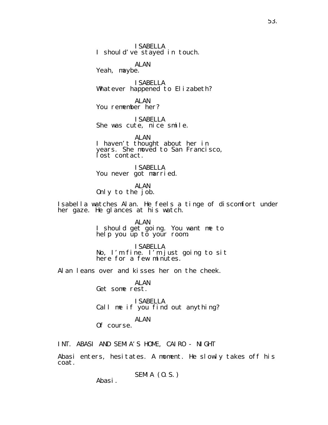ISABELLA I should've stayed in touch.

ALAN Yeah, maybe.

ISABELLA Whatever happened to Elizabeth?

AI AN You remember her?

ISABELLA She was cute, nice smile.

ALAN I haven't thought about her in years. She moved to San Francisco, lost contact.

ISABELLA You never got married.

ALAN Only to the job.

Isabella watches Alan. He feels a tinge of discomfort under her gaze. He glances at his watch.

> ALAN I should get going. You want me to help you ŭp tŏ yoŭr room.

> ISABELLA No, I'm fine. I'm just going to sit here for a few minutes.

Alan leans over and kisses her on the cheek.

ALAN Get some rest.

ISABELLA Call me if you find out anything?

ALAN Of course.

INT. ABASI AND SEMIA'S HOME, CAIRO - NIGHT

Abasi enters, hesitates. A moment. He slowly takes off his coat.

SEMIA (O.S.)

Abasi.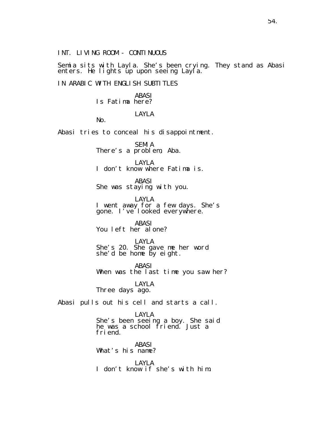INT. LIVING ROOM - CONTINUOUS

Semia sits with Layla. She's been crying. They stand as Abasi enters. He lights up upon seeing Layla.

IN ARABIC WITH ENGLISH SUBTITLES

ABASI Is Fatima here?

LAYLA

No.

Abasi tries to conceal his disappointment.

SEMIA There's a problem, Aba.

LAYLA I don't know where Fatima is.

ABASI She was staying with you.

LAYLA I went away for a few days. She's gone. I've looked everywhere.

ABASI You left her alone?

LAYLA She's 20. She gave me her word she'd be home by eight.

ABASI When was the last time you saw her?

LAYLA Three days ago.

Abasi pulls out his cell and starts a call.

LAYLA She's been seeing a boy. She said he was a school friend. Just a friend.

ABASI What's his name?

LAYLA I don't know if she's with him.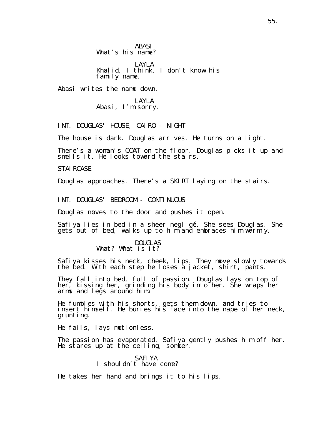ABASI What's his name?

LAYLA Khalid, I think. I don't know his family name.

Abasi writes the name down.

LAYLA Abasi, I'm sorry.

INT. DOUGLAS' HOUSE, CAIRO - NIGHT

The house is dark. Douglas arrives. He turns on a light.

There's a woman's COAT on the floor. Douglas picks it up and smells it. He looks toward the stairs.

**STAI RCASE** 

Douglas approaches. There's a SKIRT laying on the stairs.

INT. DOUGLAS' BEDROOM - CONTINUOUS

Douglas moves to the door and pushes it open.

Safiya lies in bed in a sheer negligé. She sees Douglas. She gets out of bed, walks up to him and embraces him warmly.

> DOUGLAS What? What is it?

Safiya kisses his neck, cheek, lips. They move slowly towards the bed. With each step he loses a jacket, shirt, pants.

They fall into bed, full of passion. Douglas lays on top of her, kissing her, grinding his body into her. She wraps her arms and legs around him.

He fumbles with his shorts, gets them down, and tries to insert himself. He buries his face into the nape of her neck, grunting.

He fails, lays motionless.

The passion has evaporated. Safiya gently pushes him off her. He stares up at the ceiling, somber.

#### SAFIYA I shouldn't have come?

He takes her hand and brings it to his lips.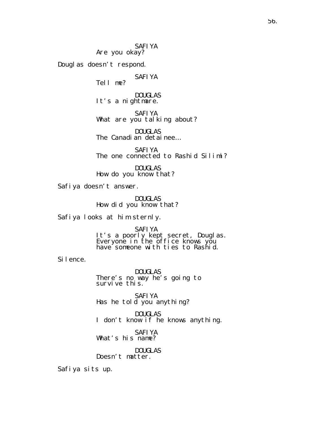SAFIYA Are you okay?

Douglas doesn't respond.

SAFIYA

Tell me?

DOUGLAS It's a nightmare.

SAFIYA What are you talking about?

DOUGLAS The Canadian detainee...

SAFIYA The one connected to Rashid Silimi?

DOUGLAS How do you know that?

Safiya doesn't answer.

DOUGLAS How did you know that?

Safiya looks at him sternly.

SAFIYA It's a poorly kept secret, Douglas. Everyone in the office knows you have someone with ties to Rashid.

Silence.

DOUGLAS There's no way he's going to survive this.

SAFIYA Has he told you anything?

DOUGLAS I don't know if he knows anything.

SAFIYA What's his name?

DOUGLAS Doesn't matter.

Safiya sits up.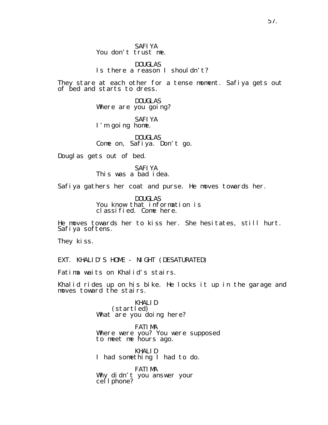SAFIYA You don't trust me.

DOUGLAS Is there a reason I shouldn't?

They stare at each other for a tense moment. Safiya gets out of bed and starts to dress.

> DOUGLAS Where are you going?

SAFIYA I'm going home.

DOUGLAS Come on, Safiya. Don't go.

Douglas gets out of bed.

SAFIYA This was a bad idea.

Safiya gathers her coat and purse. He moves towards her.

DOUGLAS You know that information is classified. Come here.

He moves towards her to kiss her. She hesitates, still hurt. Safiya softens.

They kiss.

EXT. KHALID'S HOME - NIGHT (DESATURATED)

Fatima waits on Khalid's stairs.

Khalid rides up on his bike. He locks it up in the garage and moves toward the stairs.

> KHALID (startled) What are you doing here?

FATIMA Where were you? You were supposed to meet me hours ago.

KHALID I had something I had to do.

FATIMA Why didn't you answer your cel I phone?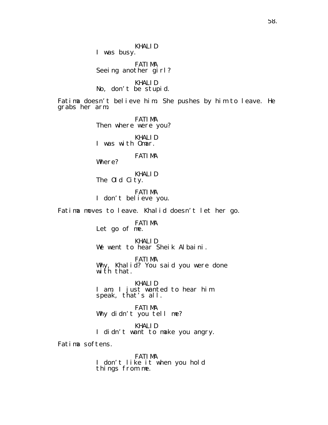KHALID I was busy.

FATIMA Seeing another girl?

KHALID No, don't be stupid.

Fatima doesn't believe him. She pushes by him to leave. He grabs her arm.

> FATIMA Then where were you?

KHALID I was with Omar.

#### FATIMA

Where?

KHALID The Old City.

FATIMA I don't believe you.

Fatima moves to leave. Khalid doesn't let her go.

FATIMA Let go of me.

KHALID We went to hear Sheik Albaini.

FATIMA Why, Khalid? You said you were done with that.

KHALID I am. I just wanted to hear him speak, that's all.

FATIMA Why didn't you tell me?

KHALID I didn't want to make you angry.

Fatima softens.

FATIMA I don't like it when you hold things from me.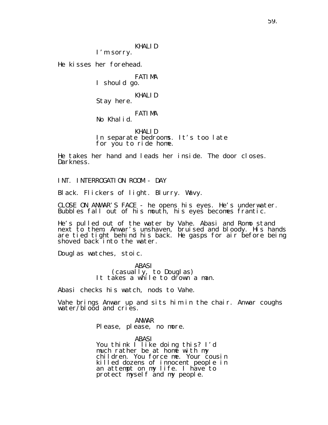KHALID

I'm sorry.

He kisses her forehead.

FATIMA

I should go.

KHALID

Stay here.

FATIMA No Khalid.

KHALID In separate bedrooms. It's too late for you to ride home.

He takes her hand and leads her inside. The door closes. Darkness.

INT. INTERROGATION ROOM - DAY

Black. Flickers of light. Blurry. Wavy.

CLOSE ON ANWAR'S FACE - he opens his eyes. He's underwater. Bubbles fall out of his mouth, his eyes becomes frantic.

He's pulled out of the water by Vahe. Abasi and Romo stand next to them. Anwar's unshaven, bruised and bloody. His hands are tied tight behind his back. He gasps for air before being shoved back into the water.

Douglas watches, stoic.

ABASI (casually, to Douglas) It takes a while to drown a man.

Abasi checks his watch, nods to Vahe.

Vahe brings Anwar up and sits him in the chair. Anwar coughs water/blood and cries.

> ANWAR Please, please, no more.

ABASI You think I like doing this? I'd much rather be at home with my children. You force me. Your cousin killed dozens of innocent people in an attempt on my life. I have to protect myself and my people.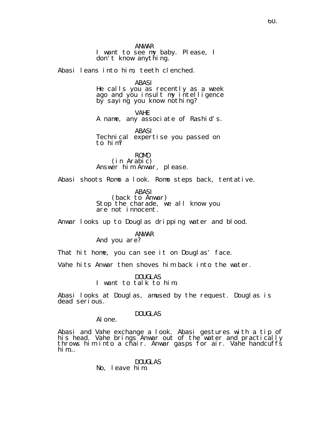I want to see my baby. Please, I don't know anything.

Abasi leans into him, teeth clenched.

ABASI

He calls you as recently as a week ago and you insult my intelligence by saying you know nothing?

VAHE A name, any associate of Rashid's.

ABASI Technical expertise you passed on to him?

ROMO (in Arabic) Answer him Anwar, please.

Abasi shoots Romo a look. Romo steps back, tentative.

ABASI (back to Anwar) Stop the charade, we all know you are not innocent.

Anwar looks up to Douglas dripping water and blood.

#### ANWAR And you are?

That hit home, you can see it on Douglas' face.

Vahe hits Anwar then shoves him back into the water.

DOUGLAS I want to talk to him.

Abasi looks at Douglas, amused by the request. Douglas is dead serious.

### DOUGLAS

Alone.

Abasi and Vahe exchange a look. Abasi gestures with a tip of his head. Vahe brings Anwar out of the water and practically throws him into a chair. Anwar gasps for air. Vahe handcuffs him…

> DOUGLAS No, leave him.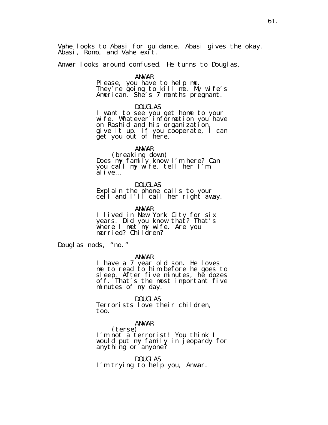Vahe looks to Abasi for guidance. Abasi gives the okay. Abasi, Romo, and Vahe exit.

Anwar looks around confused. He turns to Douglas.

#### ANWAR

Please, you have to help me. They're going to kill me. My wife's American. She's 7 months pregnant.

#### DOUGLAS

I want to see you get home to your wife. Whatever information you have on Rashid and his organization, give it up. If you cooperate, I can get you out of here.

ANWAR

(breaking down) Does my family know I'm here? Can you call my wife, tell her I'm alive…

DOUGLAS

Explain the phone calls to your cell and I'll call her right away.

ANWAR

I lived in New York City for six years. Did you know that? That's where I met my wife. Are you married? Children?

Douglas nods, "no."

ANWAR

I have a 7 year old son. He loves me to read to him before he goes to sleep. After five minutes, he dozes off. That's the most important five minutes of my day.

DOUGLAS

Terrorists love their children, too.

#### ANWAR

(terse) I'm not a terrorist! You think I would put my family in jeopardy for anything or anyone?

DOUGLAS I'm trying to help you, Anwar.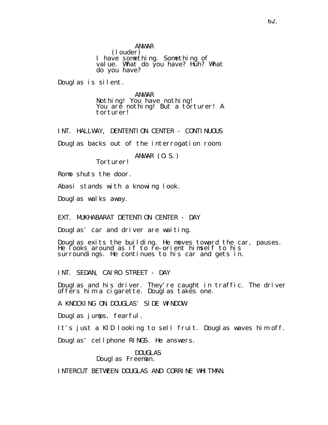ANWAR

(louder) I have something. Something of value. What do ỹou have? Hŭh? What do you have?

Douglas is silent.

ANWAR Nothing! You have nothing! You are nothing! But a torturer! A torturer!

INT. HALLWAY, DENTENTION CENTER - CONTINUOUS Douglas backs out of the interrogation room.

> ANWAR (O.S.) Torturer!

Romo shuts the door.

Abasi stands with a knowing look.

Douglas walks away.

EXT. MUKHABARAT DETENTION CENTER - DAY

Douglas' car and driver are waiting.

Douglas exits the building. He moves toward the car, pauses. He looks around as if to re-orient himself to his surroundings. He continues to his car and gets in.

INT. SEDAN, CAIRO STREET - DAY

Douglas and his driver. They're caught in traffic. The driver offers him a cigarette. Douglas takes one.

A KNOCKING ON DOUGLAS' SIDE WINDOW.

Douglas jumps, fearful.

It's just a KID looking to sell fruit. Douglas waves him off.

Douglas' cellphone RINGS. He answers.

DOUGLAS Douglas Freeman.

INTERCUT BETWEEN DOUGLAS AND CORRINE WHITMAN.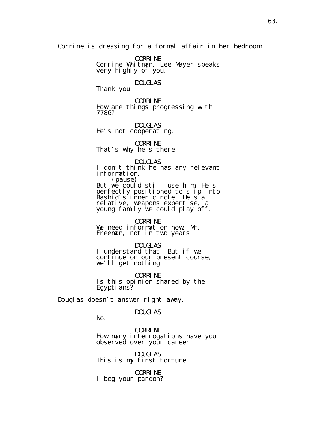Corrine is dressing for a formal affair in her bedroom.

CORRINE Corrine Whitman. Lee Mayer speaks very highly of you.

#### DOUGLAS

Thank you.

CORRINE How are things progressing with 7786?

DOUGLAS He's not cooperating.

CORRINE That's why he's there.

DOUGLAS

I don't think he has any relevant information. (pause) But we could still use him. He's perfectly positioned to slip into Rashid's inner circle. He's a relative, weapons expertise, a young family we could play off.

CORRINE

We need information now, Mr. Freeman, not in two years.

DOUGLAS

I understand that. But if we continue on our present course, we'll get nothing.

CORRINE Is this opinion shared by the Egypti ans?

Douglas doesn't answer right away.

# DOUGLAS

No.

CORRINE How many interrogations have you observed over your career.

DOUGLAS This is my first torture.

CORRINE I beg your pardon?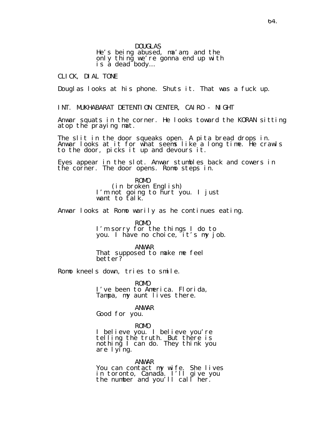DOUGLAS

He's being abused, ma'am, and the only thing we're gonna end up with is a dead body...

CLICK, DIAL TONE

Douglas looks at his phone. Shuts it. That was a fuck up.

INT. MUKHABARAT DETENTION CENTER, CAIRO - NIGHT

Anwar squats in the corner. He looks toward the KORAN sitting atop the praying mat.

The slit in the door squeaks open. A pita bread drops in. Anwar looks at it for what seems like a long time. He crawls to the door, picks it up and devours it.

Eyes appear in the slot. Anwar stumbles back and cowers in the corner. The door opens. Romo steps in.

> ROMO (in broken English) I'm not going to hurt you. I just want to talk.

Anwar looks at Romo warily as he continues eating.

ROMO I'm sorry for the things I do to you. I have no choice, it's my job.

ANWAR That supposed to make me feel better?

Romo kneels down, tries to smile.

ROMO I've been to America. Florida, Tampa, my aunt lives there.

ANWAR Good for you.

ROMO

I believe you. I believe you're telling the truth. But there is nothing I can do. They think you are lying.

ANWAR

You can contact my wife. She lives in toronto, Canada. I'll give you the number and you'll call her.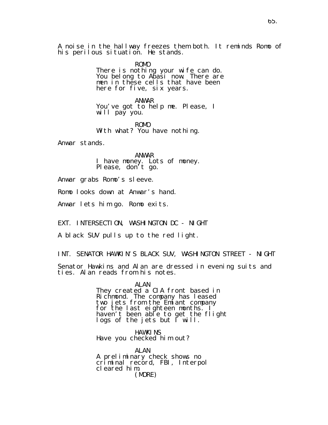A noise in the hallway freezes them both. It reminds Romo of his perilous situation. He stands.

> ROMO There is nothing your wife can do. You belong to Abasi now. There are men in thĕse cells that have been here for five, six years.

ANWAR You've got to help me. Please, I will pay you.

ROMO With what? You have nothing.

Anwar stands.

ANWAR I have money. Lots of money. Please, don't go.

Anwar grabs Romo's sleeve.

Romo looks down at Anwar's hand.

Anwar lets him go. Romo exits.

EXT. INTERSECTION, WASHINGTON DC - NIGHT

A black SUV pulls up to the red light.

INT. SENATOR HAWKIN'S BLACK SUV, WASHINGTON STREET - NIGHT

Senator Hawkins and Alan are dressed in evening suits and ties. Alan reads from his notes.

> ALAN They created a CIA front based in Richmond. The company has leased two jets from the Emiant company for the last eighteen months. I haven't been able to get the flight logs of the jets but I will.

HAWKI NS Have you checked him out?

ALAN A preliminary check shows no criminal record, FBI, Interpol cleared him. (MORE)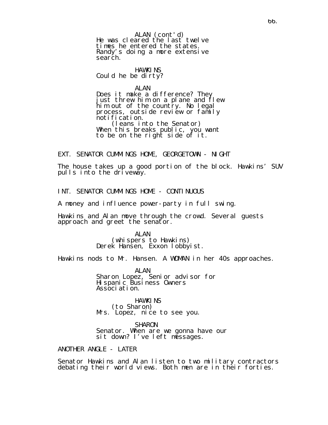He was cleared the last twelve times he entered the states. Randy's doing a more extensive search. ALAN (cont'd)

**HAWKINS** Could he be dirty?

ALAN

Does it make a difference? They just threw him on a plane and flew him out of the country. No legal process, outside review or family noti fi cati on.

(leans into the Senator) When this breaks public, you want to be on the right side of it.

EXT. SENATOR CUMMINGS HOME, GEORGETOWN - NIGHT

The house takes up a good portion of the block. Hawkins' SUV pulls into the driveway.

INT. SENATOR CUMMINGS HOME - CONTINUOUS

A money and influence power-party in full swing.

Hawkins and Alan move through the crowd. Several guests approach and greet the senator.

> ALAN (whispers to Hawkins) Derek Hansen, Exxon lobbyist.

Hawkins nods to Mr. Hansen. A WOMAN in her 40s approaches.

ALAN Sharon Lopez, Senior advisor for Hispanic Business Owners Associ ati on.

**HAWKINS** (to Sharon) Mrs. Lopez, nice to see you.

SHARON Senator. When are we gonna have our sit down? I've left messages.

ANOTHER ANGLE - LATER

Senator Hawkins and Alan listen to two military contractors debating their world views. Both men are in their forties.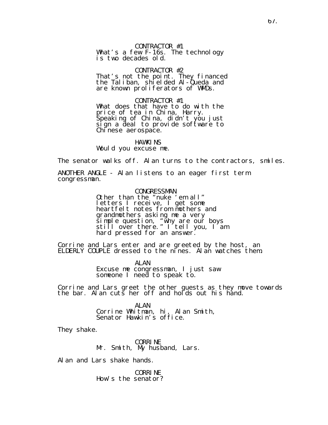# CONTRACTOR #1 What's a few F-16s. The technology

is two decades old.

# CONTRACTOR #2

That's not the point. They financed the Taliban, shielded Al-Queda and are known proliferators of WMDs.

CONTRACTOR #1 What does that have to do with the price of tea in China, Harry. Speaking of China, didn't you just sign a deal to provide software to Chinese aerospace.

# HAWKI NS Would you excuse me.

The senator walks off. Alan turns to the contractors, smiles.

ANOTHER ANGLE - Alan listens to an eager first term congressman.

> CONGRESSMAN Other than the "nuke 'em all" letters I receive, I get some heartfelt notes from mothers and grandmothers asking me a very simple question, "why are our boys still over there." I tell you, I am hard pressed for an answer.

Corrine and Lars enter and are greeted by the host, an ELDERLY COUPLE dressed to the nines. Alan watches them.

> ALAN Excuse me congressman, I just saw someone I need to speak to.

Corrine and Lars greet the other guests as they move towards the bar. Alan cuts her off and holds out his hand.

> ALAN Corrine Whitman, hi, Alan Smith, Senator Hawkin's office.

They shake.

CORRINE Mr. Smith, My husband, Lars.

Alan and Lars shake hands.

CORRINE How's the senator?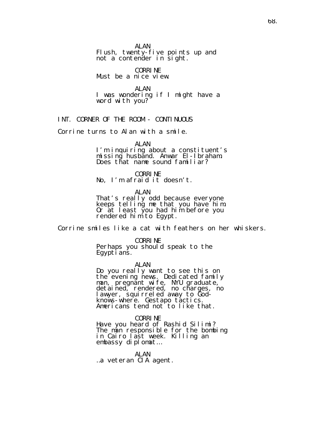ALAN Flush, twenty-five points up and not a contender in sight.

# CORRINE

Must be a nice view.

ALAN I was wondering if I might have a word with you?

INT. CORNER OF THE ROOM - CONTINUOUS

Corrine turns to Alan with a smile.

ALAN

I'm inquiring about a constituent's missing husband. Anwar El-Ibraham. Does that name sound familiar?

CORRINE

No, I'm afraid it doesn't.

ALAN

That's really odd because everyone keeps telling me that you have him. Or at least you had him before you rendered him to Egypt.

Corrine smiles like a cat with feathers on her whiskers.

CORRINE

Perhaps you should speak to the Egypti ans.

ALAN

Do you really want to see this on the evening news. Dedicated family man, pregnănt wife, NYU graduate, detained, rendered, no charges, no lawyer, squirreled away to Godknows-where. Gestapo tactics. Americans tend not to like that.

## CORRINE

Have you heard of Rashid Silimi? The man responsible for the bombing in Cairo last week. Killing an embassy diplomat…

ALAN

…a veteran CIA agent.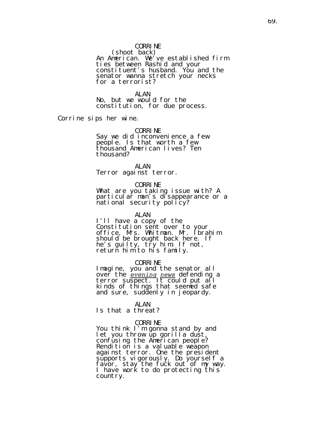# CORRINE

(shoot back) An American. We've established firm ties between Rashid and your constituent's husband. You and the senator wanna stretch your necks for a terrorist?

ALAN

No, but we would for the constitution, for due process.

Corrine sips her wine.

#### CORRINE

Say we did inconvenience a few people. Is that worth a few thousand American lives? Ten thousand?

ALAN Terror against terror.

CORRINE

What are you taking issue with? A particular man's disappearance or a national security policy?

ALAN

I'll have a copy of the Constitution sent over to your office, Mrs. Whitman. Mr. Ibrahim should be brought back here. If he's guilty, try him. If not, return him to his family.

#### CORRINE

Imagine, you and the senator all over the *evening news* defending a terror suspect. It could put all kinds of things that seemed safe and sure, suddenly in jeopardy.

#### ALAN

Is that a threat?

# CORRINE

You think I'm gonna stand by and let you throw up gorilla dust, confusing the American people? Rendition is a valuable weapon against terror. One the president supports vigorously. Do yourself a favor, stay the fuck out of my way. I have work to do protecting this country.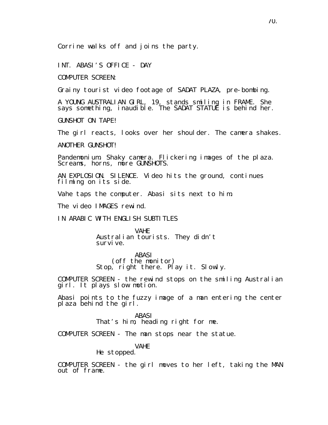Corrine walks off and joins the party.

INT. ABASI'S OFFICE - DAY

COMPUTER SCREEN:

Grainy tourist video footage of SADAT PLAZA, pre-bombing.

A YOUNG AUSTRALIAN GIRL, 19, stands smiling in FRAME. She says something, inaudible. The SADAT STATUE is behind her.

GUNSHOT ON TAPE!

The girl reacts, looks over her shoulder. The camera shakes.

ANOTHER GUNSHOT!

Pandemonium. Shaky camera. Flickering images of the plaza. Screams, horns, more GUNSHOTS.

AN EXPLOSION. SILENCE. Video hits the ground, continues filming on its side.

Vahe taps the computer. Abasi sits next to him.

The video IMAGES rewind.

IN ARABIC WITH ENGLISH SUBTITLES

VAHE Australian tourists. They didn't survi ve.

ABASI (off the monitor) Stop, right there. Play it. Slowly.

COMPUTER SCREEN - the rewind stops on the smiling Australian girl. It plays slow motion.

Abasi points to the fuzzy image of a man entering the center plaza behind the girl.

> ABASI That's him, heading right for me.

COMPUTER SCREEN - The man stops near the statue.

VAHE

He stopped.

COMPUTER SCREEN - the girl moves to her left, taking the MAN out of frame.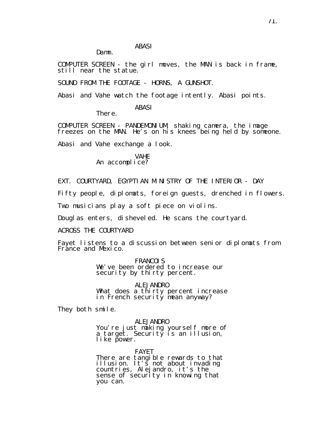# ABASI

Damn.

COMPUTER SCREEN - the girl moves, the MAN is back in frame, still near the statue.

SOUND FROM THE FOOTAGE - HORNS, A GUNSHOT.

Abasi and Vahe watch the footage intently. Abasi points.

ABASI

There.

COMPUTER SCREEN - PANDEMONIUM, shaking camera, the image freezes on the MAN. He's on his knees being held by someone.

Abasi and Vahe exchange a look.

VAHE An accomplice?

EXT. COURTYARD, EGYPTIAN MINISTRY OF THE INTERIOR - DAY

Fifty people, diplomats, foreign guests, drenched in flowers.

Two musicians play a soft piece on violins.

Douglas enters, disheveled. He scans the courtyard.

ACROSS THE COURTYARD

Fayet listens to a discussion between senior diplomats from France and Mexico.

> FRANCOIS We've been ordered to increase our security by thirty percent.

ALEJANDRO What does a thirty percent increase in French security mean anyway?

They both smile.

ALEJANDRO

You're just making yourself more of a target. Security is an illusion, like power.

FAYET There are tangible rewards to that illusion. It's not about invading countries, Alejandro, it's the sense of security in knowing that you can.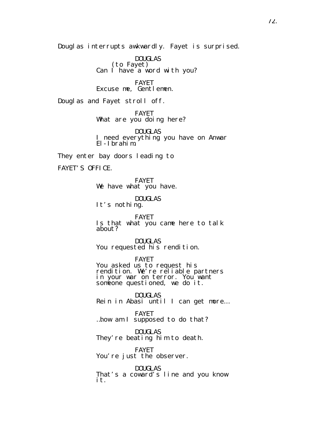Douglas interrupts awkwardly. Fayet is surprised.

DOUGLAS (to Fayet) Can I have a word with you?

FAYET Excuse me, Gentlemen.

Douglas and Fayet stroll off.

FAYET What are you doing here?

DOUGLAS I need everything you have on Anwar El-Ibrahim.

They enter bay doors leading to

FAYET'S OFFICE.

FAYET We have what you have.

DOUGLAS

It's nothing.

FAYET Is that what you came here to talk about?

DOUGLAS You requested his rendition.

FAYET You asked us to request his rendition. We're reliable partners in your war on terror. You want someone questioned, we do it.

DOUGLAS Rein in Abasi until I can get more…

FAYET …how am I supposed to do that?

DOUGLAS They're beating him to death.

FAYET You're just the observer.

DOUGLAS That's a coward's line and you know it.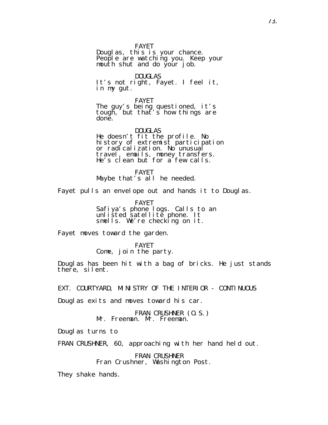FAYET

Douglas, this is your chance. People are watching you. Keep your mouth shut and do your job.

DOUGLAS It's not right, Fayet. I feel it, in my gut.

FAYET The guy's being questioned, it's tough, but that's how things are done.

DOUGLAS He doesn't fit the profile. No history of extremist participation or radícalization. No unusual travel, emails, money transfers. He's clean but for a few calls.

FAYET Maybe that's all he needed.

Fayet pulls an envelope out and hands it to Douglas.

FAYET Safiya's phone logs. Calls to an unlišted satellitĕ phone. It smells. We're checking on it.

Fayet moves toward the garden.

FAYET Come, join the party.

Douglas has been hit with a bag of bricks. He just stands there, silent.

EXT. COURTYARD, MINISTRY OF THE INTERIOR - CONTINUOUS

Douglas exits and moves toward his car.

FRAN CRUSHNER (O.S.) Mr. Freeman. Mr. Freeman.

Douglas turns to

FRAN CRUSHNER, 60, approaching with her hand held out.

FRAN CRUSHNER Fran Crushner, Washington Post.

They shake hands.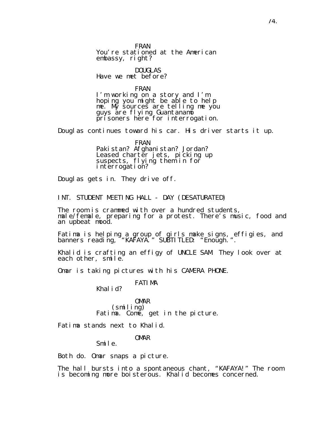FRAN You're stationed at the American embassy, right?

DOUGLAS Have we met before?

FRAN

I'm working on a story and I'm hoping you might be able to help me. My sources are telling me you guys are flying Guantanamo prisoners here for interrogation.

Douglas continues toward his car. His driver starts it up.

FRAN

Pakistan? Afghanistan? Jordan? Leased chartĕr jets, picking up suspects, flying them in for interrogation?

Douglas gets in. They drive off.

INT. STUDENT MEETING HALL - DAY (DESATURATED)

The room is crammed with over a hundred students, male/female, preparing for a protest. There's music, food and an upbeat mood.

Fatima is helping a group of girls make signs, effigies, and banners reading, "KAFAYA." SUBTITLED: "Enoŭgh.".

Khalid is crafting an effigy of UNCLE SAM. They look over at each other, smile.

Omar is taking pictures with his CAMERA PHONE.

FATIMA

Khalid?

OMAR (smiling) Fatima. Come, get in the picture.

Fatima stands next to Khalid.

OMAR

Smile.

Both do. Omar snaps a picture.

The hall bursts into a spontaneous chant, "KAFAYA!" The room is becoming more boisterous. Khalid becomes concerned.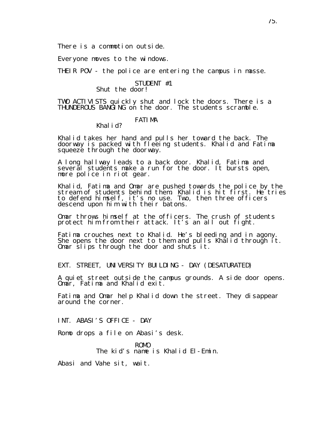There is a commotion outside.

Everyone moves to the windows.

Khalid?

THEIR POV - the police are entering the campus in masse.

# STUDENT #1

## Shut the door!

TWO ACTIVISTS quickly shut and lock the doors. There is a THUNDEROUS BANGING on the door. The students scramble.

#### FATIMA

Khalid takes her hand and pulls her toward the back. The doorway is packed with fleeing students. Khalid and Fatima squeeze through the doorway.

A long hallway leads to a back door. Khalid, Fatima and several students make a run for the door. It bursts open, more police in riot gear.

Khalid, Fatima and Omar are pushed towards the police by the stream of students behind them. Khalid is hit first. He´tries to defend himself, it's no use. Two, then three officers descend upon him with their batons.

Omar throws himself at the officers. The crush of students protect him from their attack. It's an all out fight.

Fatima crouches next to Khalid. He's bleeding and in agony. She opens the door next to them and pulls Khalid through it. Omar slips through the door and shuts it.

EXT. STREET, UNIVERSITY BUILDING - DAY (DESATURATED)

A quiet street outside the campus grounds. A side door opens. Omar, Fatima and Khalid exit.

Fatima and Omar help Khalid down the street. They disappear around the corner.

INT. ABASI'S OFFICE - DAY

Romo drops a file on Abasi's desk.

ROMO The kid's name is Khalid El-Emin.

Abasi and Vahe sit, wait.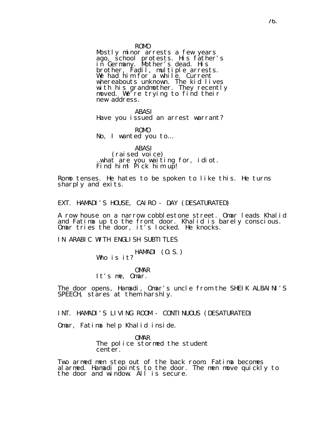Mostly minor arrests a few years ago, school protests. His father's iñ Germany. Mother's dead. His brother, Fadil, multiple arrests. We had him for a while. Current whereabouts unknown. The kid lives with his grandmother. They recently moved. We're trying to find their new address.

ABASI

Have you issued an arrest warrant?

ROMO

No, I wanted you to…

ABASI (raised voice) …what are you waiting for, idiot. Find him! Pick him up!

Romo tenses. He hates to be spoken to like this. He turns sharply and exits.

EXT. HAMADI'S HOUSE, CAIRO - DAY (DESATURATED)

A row house on a narrow cobblestone street. Omar leads Khalid and Fatima up to the front door. Khalid is barely conscious. Omar tries the door, it's locked. He knocks.

IN ARABIC WITH ENGLISH SUBTITLES

HAMADI (O.S.) Who is it?

OMAR It's me, Omar.

The door opens, Hamadi, Omar's uncle from the SHEIK ALBAINI'S SPEECH, stares at them harshly.

INT. HAMADI'S LIVING ROOM - CONTINUOUS (DESATURATED)

Omar, Fatima help Khalid inside.

OMAR The police stormed the student center.

Two armed men step out of the back room. Fatima becomes alarmed. Hamadi points to the door. The men move quickly to the door and window. All is secure.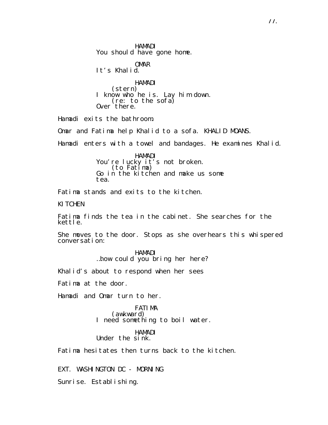HAMADI You should have gone home.

OMAR It's Khalid. HAMADI (stern) I know who he is. Lay him down. (re: to the sofa)

Over there.

Hamadi exits the bathroom.

Omar and Fatima help Khalid to a sofa. KHALID MOANS.

Hamadi enters with a towel and bandages. He examines Khalid.

HAMADI You're lucky it's not broken. (to Fatima) Go in the kitchen and make us some tea.

Fatima stands and exits to the kitchen.

**KITCHEN** 

Fatima finds the tea in the cabinet. She searches for the kettle.

She moves to the door. Stops as she overhears this whispered conversation:

> HAMADI …how could you bring her here?

Khalid's about to respond when her sees

Fatima at the door.

Hamadi and Omar turn to her.

FATIMA (awkward)

I need something to boil water.

HAMADI Under the sink.

Fatima hesitates then turns back to the kitchen.

EXT. WASHINGTON DC - MORNING

Sunrise. Establishing.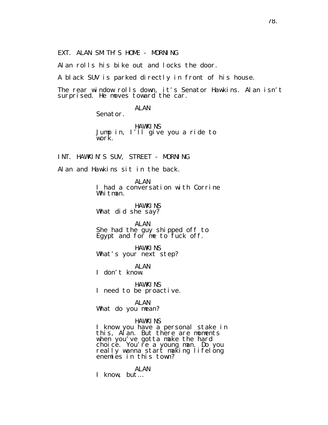EXT. ALAN SMITH'S HOME - MORNING

Alan rolls his bike out and locks the door.

A black SUV is parked directly in front of his house.

The rear window rolls down, it's Senator Hawkins. Alan isn't surprised. He moves toward the car.

ALAN

Senator.

**HAWKINS** Jump in, I'll give you a ride to work.

INT. HAWKIN'S SUV, STREET - MORNING

Alan and Hawkins sit in the back.

ALAN I had a conversation with Corrine Whitman.

**HAWKINS** What did she say?

ALAN She had the guy shipped off to Egypt and for me to fuck off.

HAWKI<sub>NS</sub> What's your next step?

ALAN I don't know.

**HAWKINS** I need to be proactive.

ALAN What do you mean?

#### HAWKI<sub>NS</sub>

I know you have a personal stake in this, Alan. But there are moments when you've gotta make the hard choice. You're a young man. Do you really wanna starť making lifelóng enemies in this town?

ALAN I know, but…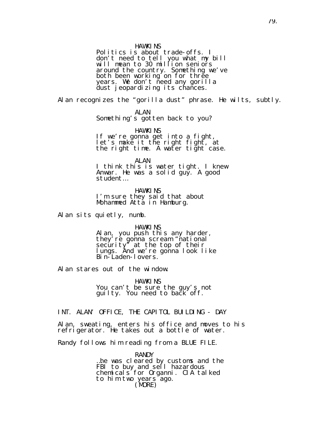Politics is about trade-offs. I don't need to tell you what my bill will mean to 30 million seniors around the country. Something we've both been working on for thrĕe years. We don't need any gorilla dust jeopardizing its chances.

Alan recognizes the "gorilla dust" phrase. He wilts, subtly.

ALAN

Something's gotten back to you?

**HAWKINS** If we're gonna get into a fight, let's make it the right fight, at the right time. A water tight case.

ALAN

I think this is water tight. I knew Anwar. He was a solid guy. A good student…

HAWKI NS I'm sure they said that about Mohammed Attă in Hamburg.

Alan sits quietly, numb.

**HAWKINS** 

Alan, you push this any harder, they're gonna scream "national secŭrity" at the top of their lungs. And we're gonna look like Bin-Laden-lovers.

Alan stares out of the window.

HAWKI<sub>NS</sub> You can't be sure the guy's not guilty. You need to back off.

INT. ALAN' OFFICE, THE CAPITOL BUILDING - DAY

Alan, sweating, enters his office and moves to his refrigerator. He takes out a bottle of water.

Randy follows him reading from a BLUE FILE.

RANDY …he was cleared by customs and the FBI to buy and sell hazardous chemicals for Organni. CIA talked to him two years ago. (MORE)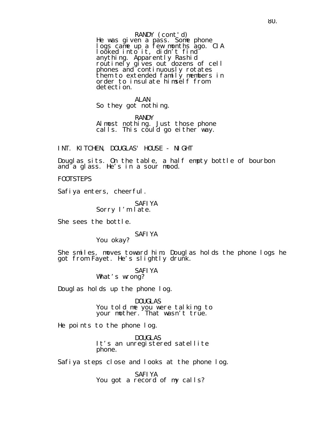He was given a pass. Some phone logs came up a few months ago. CIA looked into it, didn't find  $\breve{ }$ anything. Apparently Rashid roŭtinely gives out dozens of cell phones and continuously rotates them to extended family members in order to insulate himself from detection. RANDY (cont'd)

ALAN So they got nothing.

RANDY Almost nothing. Just those phone calls. This could go either way.

INT. KITCHEN, DOUGLAS' HOUSE - NIGHT

Douglas sits. On the table, a half empty bottle of bourbon and a glass. He's in a sour mood.

FOOTSTEPS

Safiya enters, cheerful.

SAFIYA Sorry I'm late.

She sees the bottle.

## SAFIYA

You okay?

She smiles, moves toward him. Douglas holds the phone logs he got from Fayet. He's slightly drunk.

# SAFIYA

# What's wrong?

Douglas holds up the phone log.

DOUGLAS You told me you were talking to your mother. That wasn't true.

He points to the phone log.

DOUGLAS It's an unregistered satellite phone.

Safiya steps close and looks at the phone log.

SAFIYA You got a record of my calls?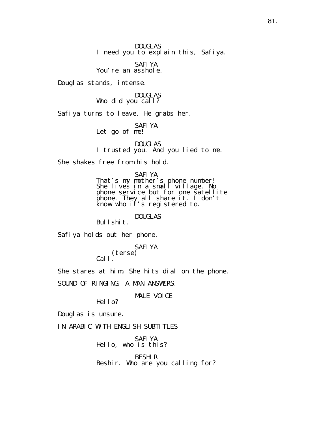DOUGLAS I need you to explain this, Safiya.

SAFIYA You're an asshole.

Douglas stands, intense.

DOUGLAS Who did you call?

Safiya turns to leave. He grabs her.

SAFIYA Let go of me!

DOUGLAS I trusted you. And you lied to me.

She shakes free from his hold.

SAFIYA That's my mother's phone number! She lives in a small village. No phone service but for one satellite

phone. They all share it. I don't know who it's registered to.

DOUGLAS

Bullshit.

Safiya holds out her phone.

SAFIYA (terse) Call.

She stares at him. She hits dial on the phone.

SOUND OF RINGING. A MAN ANSWERS.

MALE VOICE

Hello?

Douglas is unsure.

IN ARABIC WITH ENGLISH SUBTITLES

SAFIYA Hello, who is this?

BESHIR Beshir. Who are you calling for?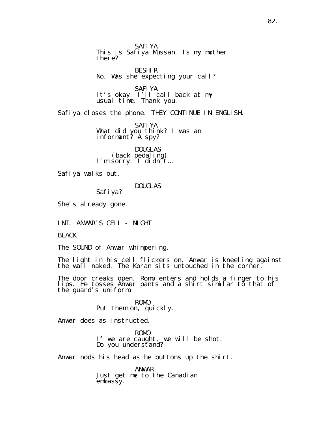SAFIYA This is Safiya Mussan. Is my mother there?

BESHIR No. Was she expecting your call?

SAFIYA It's okay. I'll call back at my usual time. Thank you.

Safiya closes the phone. THEY CONTINUE IN ENGLISH.

SAFIYA What did you think? I was an informant? A spy?

DOUGLAS (back pedaling) I'm sorry. I didn't…

Safiya walks out.

DOUGLAS Safi ya?

She's al ready gone.

INT. ANWAR'S CELL - NIGHT

BLACK

The SOUND of Anwar whimpering.

The light in his cell flickers on. Anwar is kneeling against the wall naked. The Koran sits untouched in the corner.

The door creaks open. Romo enters and holds a finger to his lips. He tosses Anwar pants and a shirt similar to that of the guard's uniform.

> ROMO Put them on, quickly.

Anwar does as instructed.

ROMO If we are caught, we will be shot. Do you understand?

Anwar nods his head as he buttons up the shirt.

ANWAR Just get me to the Canadian embassy.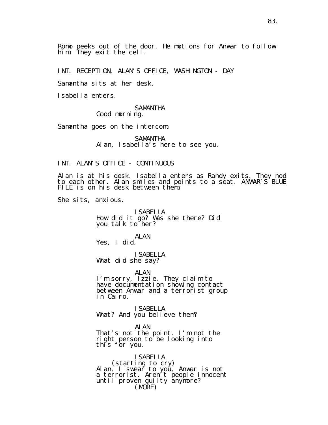Romo peeks out of the door. He motions for Anwar to follow him. They exit the cell.

INT. RECEPTION, ALAN'S OFFICE, WASHINGTON - DAY

Samantha sits at her desk.

Isabella enters.

**SAMANTHA** Good morning.

Samantha goes on the intercom.

**SAMANTHA** Alan, Isabella's here to see you.

INT. ALAN'S OFFICE - CONTINUOUS

Alan is at his desk. Isabella enters as Randy exits. They nod to each other. Alan smiles and points to a seat. ANWAR'S BLUE FILE is on his desk between them.

She sits, anxious.

ISABELLA How did it go? Was she there? Did you talk to her?

ALAN Yes, I did.

ISABELLA What did she say?

ALAN

I'm sorry, Izzie. They claim to have documentation showing contact between Anwar and a terrorist group in Cairo.

ISABELLA What? And you believe them?

ALAN That's not the point. I'm not the right person to be looking into this for you.

ISABELLA (starting to cry) Alan, I swear̃ to yoŭ, Anwar is not a terrorist. Aren't people innocent until proven guilty anymore? (MORE)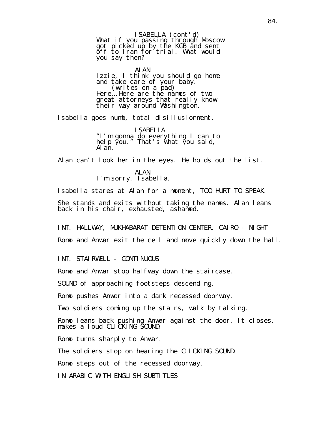What if you passing through Moscow got picked up by the KGB and sent ŏff to Iran for trial. What would you say then? ISABELLA (cont'd)

ALAN Izzie, I think you should go home and take care of your baby. (writes on a pad) Here... Here are the names of two great attorneys that really know ťheir way aroúnd Washingtoń.

Isabella goes numb, total disillusionment.

ISABELLA "I'm gonna do everything I can to help you." That's what you said, Alan.

Alan can't look her in the eyes. He holds out the list.

ALAN I'm sorry, Isabella.

Isabella stares at Alan for a moment, TOO HURT TO SPEAK.

She stands and exits without taking the names. Alan leans back in his chair, exhausted, ashamed.

INT. HALLWAY, MUKHABARAT DETENTION CENTER, CAIRO - NIGHT Romo and Anwar exit the cell and move quickly down the hall.

INT. STAIRWELL - CONTINUOUS

Romo and Anwar stop halfway down the staircase.

SOUND of approaching footsteps descending.

Romo pushes Anwar into a dark recessed doorway.

Two soldiers coming up the stairs, walk by talking.

Romo leans back pushing Anwar against the door. It closes, makes a loud CLICKING SOUND.

Romo turns sharply to Anwar.

The soldiers stop on hearing the CLICKING SOUND.

Romo steps out of the recessed doorway.

IN ARABIC WITH ENGLISH SUBTITLES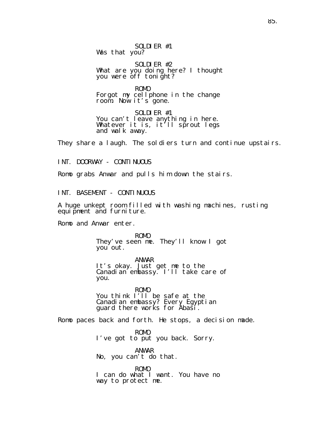SOLDIER #1 Was that you?

SOLDIER #2 What are you doing here? I thought you were off tonight?

ROMO Forgot my cellphone in the change room. Now it's gone.

SOLDIER #1 You can't leave anything in here. Whatever it is, it<sup> $7$ </sup>ll sprout legs and walk away.

They share a laugh. The soldiers turn and continue upstairs.

INT. DOORWAY - CONTINUOUS

Romo grabs Anwar and pulls him down the stairs.

INT. BASEMENT - CONTINUOUS

A huge unkept room filled with washing machines, rusting equipment and furniture.

Romo and Anwar enter.

ROMO They've seen me. They'll know I got you out.

ANWAR It's okay. Just get me to the Canadian embassy. I'll take care of you.

ROMO You think I'll be safe at the Canadian embassy? Every Egyptian guard there works for Abasi.

Romo paces back and forth. He stops, a decision made.

ROMO I've got to put you back. Sorry.

ANWAR No, you can't do that.

ROMO I can do what I want. You have no way to protect me.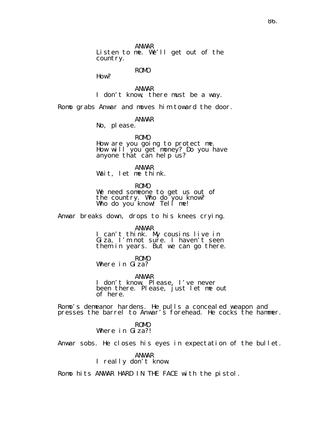ANWAR

Listen to me. We'll get out of the country.

ROMO

How?

ANWAR I don't know, there must be a way.

Romo grabs Anwar and moves him toward the door.

### ANWAR

No, please.

ROMO How are you going to protect me. How will you get money? Do you have anyone thát căn help ŭs?

ANWAR Wait, let me think.

ROMO We need someone to get us out of the country. Who do you know? Who do you know! Tell me!

Anwar breaks down, drops to his knees crying.

ANWAR

I can't think. My cousins live in Giza, I'm not sure. I haven't seen them in years. But we can go there.

ROMO Where in Giza?

ANWAR I don't know. Please, I've never been there. Please, just let me out of here.

Romo's demeanor hardens. He pulls a concealed weapon and presses the barrel to Anwar's forehead. He cocks the hammer.

ROMO

Where in Giza?!

Anwar sobs. He closes his eyes in expectation of the bullet.

ANWAR

I really don't know.

Romo hits ANWAR HARD IN THE FACE with the pistol.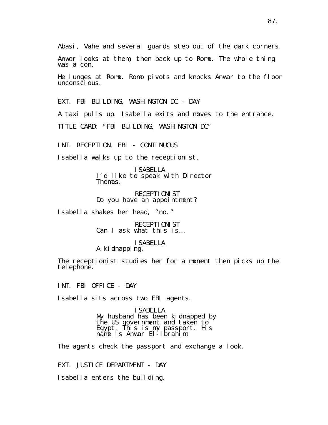Abasi, Vahe and several guards step out of the dark corners.

Anwar looks at them, then back up to Romo. The whole thing was a con.

He lunges at Romo. Romo pivots and knocks Anwar to the floor unconsci ous.

EXT. FBI BUILDING, WASHINGTON DC - DAY

A taxi pulls up. Isabella exits and moves to the entrance.

TITLE CARD: "FBI BUILDING, WASHINGTON DC"

INT. RECEPTION, FBI - CONTINUOUS

Isabella walks up to the receptionist.

ISABELLA I'd like to speak with Director Thomas.

RECEPTIONIST Do you have an appointment?

Isabella shakes her head, "no."

RECEPTIONIST Can I ask what this is…

ISABELLA

A kidnapping.

The receptionist studies her for a moment then picks up the tel ephone.

INT. FBI OFFICE - DAY

Isabella sits across two FBI agents.

ISABELLA My husband has been kidnapped by the US government and taken to Egypt. This is my passport. His name is Anwar El-Ibrahim.

The agents check the passport and exchange a look.

EXT. JUSTICE DEPARTMENT - DAY

Isabella enters the building.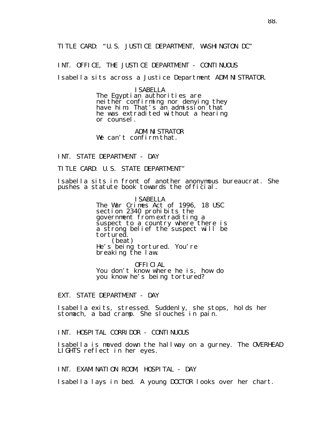TITLE CARD: "U.S. JUSTICE DEPARTMENT, WASHINGTON DC"

INT. OFFICE, THE JUSTICE DEPARTMENT - CONTINUOUS

Isabella sits across a Justice Department ADMINISTRATOR.

#### ISABELLA

The Egyptian authorities are nei ther confirming nor denying they have him. That′s ăn admissíon that ́ he was extradited without a hearing or counsel.

ADMINISTRATOR We can't confirm that.

INT. STATE DEPARTMENT - DAY

TITLE CARD: U.S. STATE DEPARTMENT"

Isabella sits in front of another anonymous bureaucrat. She pushes a statute book towards the official.

> ISABELLA The War Crimes Act of 1996, 18 USC section 2340 prohibits the government from extraditing a suspect to a country where there is a strong belief the suspect will be tortured. (beat) He's being tortured. You're breaking the law.

OFFICIAL You don't know where he is, how do you know he's being tortured?

EXT. STATE DEPARTMENT - DAY

Isabella exits, stressed. Suddenly, she stops, holds her stomach, a bad cramp. She slouches in pain.

INT. HOSPITAL CORRIDOR - CONTINUOUS

Isabella is moved down the hallway on a gurney. The OVERHEAD LIGHTS reflect in her eyes.

INT. EXAMINATION ROOM, HOSPITAL - DAY

Isabella lays in bed. A young DOCTOR looks over her chart.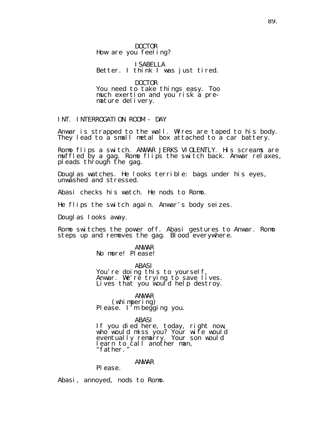DOCTOR How are you feeling?

ISABELLA Better. I think I was just tired.

DOCTOR

You need to take things easy. Too much exertion and you risk a premature delivery.

INT. INTERROGATION ROOM - DAY

Anwar is strapped to the wall. Wires are taped to his body. They lead to a small metal box attached to a car battery.

Romo flips a switch. ANWAR JERKS VIOLENTLY. His screams are muffled by a gag. Romo flips the switch back. Anwar relaxes, pleads through the gag.

Douglas watches. He looks terrible: bags under his eyes, unwashed and stressed.

Abasi checks his watch. He nods to Romo.

He flips the switch again. Anwar's body seizes.

Douglas looks away.

Romo switches the power off. Abasi gestures to Anwar. Romo steps up and removes the gag. Blood everywhere.

> ANWAR No more! Please!

> > ABASI

You're doing this to yourself, Anwar. We′rĕ trying tŏ save lives. Lives that you would help destroy.

ANWAR

(whimpering) Please. I'm begging you.

ABASI

If you died here, today, right now, who would miss you? Your wife would eventually remarry. Your son would learn to call another man, "father."

ANWAR

Pl ease.

Abasi, annoyed, nods to Romo.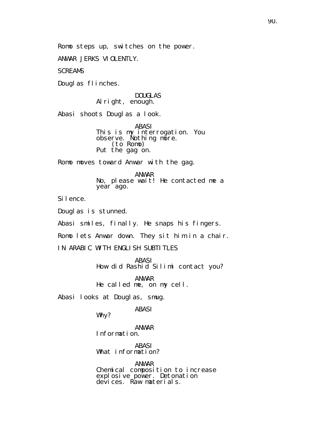Romo steps up, switches on the power.

ANWAR JERKS VIOLENTLY.

**SCREAMS** 

Douglas flinches.

DOUGLAS Al right, enough.

Abasi shoots Douglas a look.

ABASI This is my interrogation. You observe. Nothing more. (to Romo) Put the gag on.

Romo moves toward Anwar with the gag.

ANWAR No, please wait! He contacted me a year ago.

Silence.

Douglas is stunned.

Abasi smiles, finally. He snaps his fingers.

Romo lets Anwar down. They sit him in a chair.

IN ARABIC WITH ENGLISH SUBTITLES

ABASI How did Rashid Silimi contact you?

ANWAR He called me, on my cell.

Abasi looks at Douglas, smug.

ABASI

Why?

ANWAR Information.

ABASI What information?

ANWAR Chemical composition to increase explosive power. Detonation devices. Raw materials.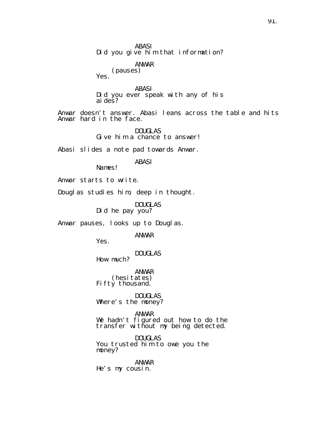ABASI Did you give him that information?

> ANWAR (pauses)

Yes.

ABASI Did you ever speak with any of his ai des?

Anwar doesn't answer. Abasi leans across the table and hits Anwar hard in the face.

> DOUGLAS Give him a chance to answer!

Abasi slides a note pad towards Anwar.

## ABASI

Names!

Anwar starts to write.

Douglas studies him, deep in thought.

DOUGLAS Did he pay you?

Anwar pauses, looks up to Douglas.

ANWAR

Yes.

DOUGLAS How much?

ANWAR (hesitates) Fifty thousand.

DOUGLAS Where's the money?

ANWAR We hadn't figured out how to do the transfer without my being detected.

DOUGLAS You trusted him to owe you the money?

ANWAR He's my cousin.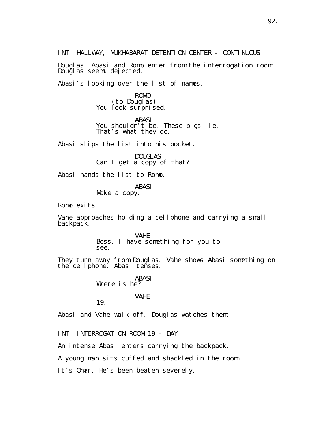INT. HALLWAY, MUKHABARAT DETENTION CENTER - CONTINUOUS

Douglas, Abasi and Romo enter from the interrogation room. Douğlas seems dejected.

Abasi's looking over the list of names.

ROMO (to Douglas) You look surprised.

ABASI You shouldn't be. These pigs lie. That's what they do.

Abasi slips the list into his pocket.

DOUGLAS Can I get a copy of that?

Abasi hands the list to Romo.

ABASI Make a copy.

Romo exits.

Vahe approaches holding a cellphone and carrying a small backpack.

VAHE

Boss, I have something for you to see.

They turn away from Douglas. Vahe shows Abasi something on the cellphone. Abasi tenses.

> ABASI Where is he?

#### VAHE

19.

Abasi and Vahe walk off. Douglas watches them.

INT. INTERROGATION ROOM 19 - DAY

An intense Abasi enters carrying the backpack.

A young man sits cuffed and shackled in the room.

It's Omar. He's been beaten severely.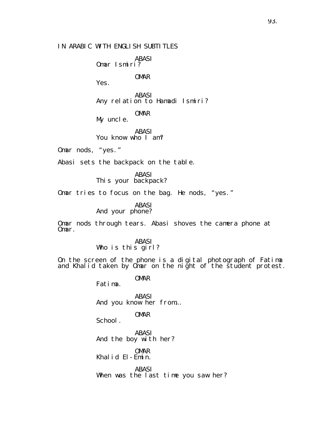IN ARABIC WITH ENGLISH SUBTITLES

ABASI Omar Ismiri?

OMAR

Yes.

ABASI Any relation to Hamadi Ismiri?

OMAR My uncle.

ABASI You know who I am?

Omar nods, "yes."

Abasi sets the backpack on the table.

ABASI This your backpack?

Omar tries to focus on the bag. He nods, "yes."

ABASI And your phone?

Omar nods through tears. Abasi shoves the camera phone at Omar.

> ABASI Who is this girl?

On the screen of the phone is a digital photograph of Fatima and Khalid taken by Omar on the night of the student protest.

OMAR

Fatima.

ABASI And you know her from…

OMAR

School.

ABASI And the boy with her?

OMAR Khalid El-Emin.

ABASI When was the last time you saw her?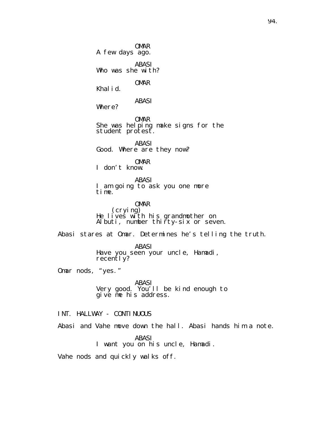OMAR A few days ago. ABASI Who was she with? OMAR Khalid. ABASI Where? OMAR She was helping make signs for the student protest. ABASI Good. Where are they now? OMAR I don't know. ABASI I am going to ask you one more time. OMAR (crying) He lives with his grandmother on Albuti, number thirty-six or seven. Abasi stares at Omar. Determines he's telling the truth. ABASI Have you seen your uncle, Hamadi, recently? Omar nods, "yes." ABASI Very good. You'll be kind enough to give me his address. INT. HALLWAY - CONTINUOUS Abasi and Vahe move down the hall. Abasi hands him a note. ABASI I want you on his uncle, Hamadi.

Vahe nods and quickly walks off.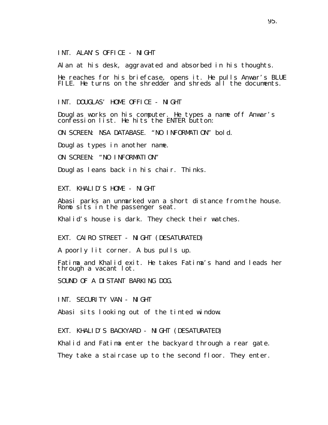INT. ALAN'S OFFICE - NIGHT

Alan at his desk, aggravated and absorbed in his thoughts.

He reaches for his briefcase, opens it. He pulls Anwar's BLUE FILE. He turns on the shredder and shreds all the documents.

INT. DOUGLAS' HOME OFFICE - NIGHT

Douglas works on his computer. He types a name off Anwar's confession list. He hits the ENTER button:

ON SCREEN: NSA DATABASE. "NO INFORMATION" bold.

Douglas types in another name.

ON SCREEN: "NO INFORMATION"

Douglas leans back in his chair. Thinks.

EXT. KHALID'S HOME - NIGHT

Abasi parks an unmarked van a short distance from the house. Romo sits in the passenger seat.

Khalid's house is dark. They check their watches.

EXT. CAIRO STREET - NIGHT (DESATURATED)

A poorly lit corner. A bus pulls up.

Fatima and Khalid exit. He takes Fatima's hand and leads her through a vacant lot.

SOUND OF A DISTANT BARKING DOG.

INT. SECURITY VAN - NIGHT

Abasi sits looking out of the tinted window.

EXT. KHALID'S BACKYARD - NIGHT (DESATURATED)

Khalid and Fatima enter the backyard through a rear gate.

They take a staircase up to the second floor. They enter.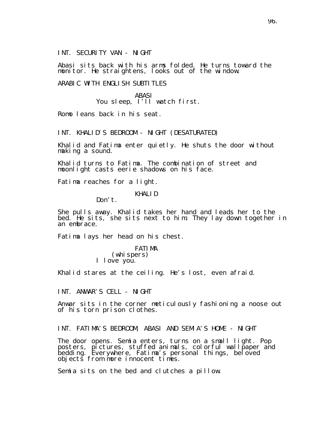INT. SECURITY VAN - NIGHT

Abasi sits back with his arms folded. He turns toward the monitor. He straightens, looks out of the window.

ARABIC WITH FNGLISH SUBTITLES

ABASI You sleep, I'll watch first.

Romo leans back in his seat.

INT. KHALID'S BEDROOM - NIGHT (DESATURATED)

Khalid and Fatima enter quietly. He shuts the door without making a sound.

Khalid turns to Fatima. The combination of street and moonlight casts eerie shadows on his face.

Fatima reaches for a light.

KHALID

Don't

She pulls away. Khalid takes her hand and leads her to the bed. He sits, she sits next to him. They lay down together in an embrace.

Fatima lays her head on his chest.

FATIMA (whispers) I love you.

Khalid stares at the ceiling. He's lost, even afraid.

INT. ANWAR'S CELL - NIGHT

Anwar sits in the corner meticulously fashioning a noose out of his torn prison clothes.

INT. FATIMA'S BEDROOM, ABASI AND SEMIA'S HOME - NIGHT

The door opens. Semia enters, turns on a small light. Pop posters, pictures, stuffed animals, colorful wallpaper and bedding. Everywhere, Fatima's personal things, beloved objects from more innocent times.

Semia sits on the bed and clutches a pillow.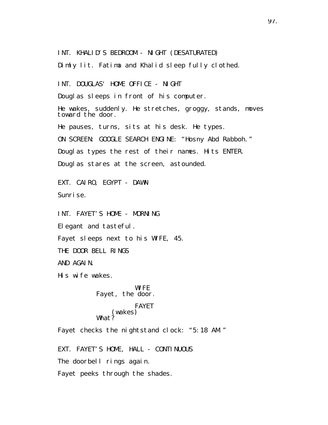INT. KHALID'S BEDROOM - NIGHT (DESATURATED) Dimly lit. Fatima and Khalid sleep fully clothed. INT. DOUGLAS' HOME OFFICE - NIGHT Douglas sleeps in front of his computer. He wakes, suddenly. He stretches, groggy, stands, moves toward the door. He pauses, turns, sits at his desk. He types. ON SCREEN: GOOGLE SEARCH ENGINE: "Hosny Abd Rabboh." Douglas types the rest of their names. Hits ENTER. Douglas stares at the screen, astounded. EXT. CAIRO, EGYPT - DAWN Sunrise. INT. FAYET'S HOME - MORNING Elegant and tasteful. Fayet sleeps next to his WIFE, 45. THE DOOR BELL RINGS AND AGAIN. His wife wakes. WI FF Fayet, the door. FAYET (wakes) What? Fayet checks the nightstand clock: "5:18 AM." EXT. FAYET'S HOME, HALL - CONTINUOUS The doorbell rings again. Fayet peeks through the shades.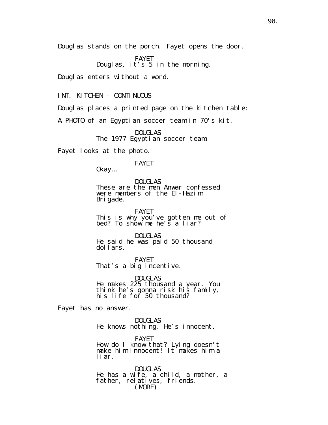Douglas stands on the porch. Fayet opens the door.

FAYET

Douglas, it's 5 in the morning.

Douglas enters without a word.

INT. KITCHEN - CONTINUOUS

Douglas places a printed page on the kitchen table:

A PHOTO of an Egyptian soccer team in 70's kit.

DOUGLAS The 1977 Egyptian soccer team.

Fayet looks at the photo.

## FAYET

Okay…

DOUGLAS These are the men Anwar confessed were members of the El-Hazim Brigade.

FAYET This is why you've gotten me out of bed? To show me he′s a liar?

DOUGLAS He said he was paid 50 thousand dollars.

FAYET That's a big incentive.

DOUGLAS He makes 225 thousand a year. You think he's gonna risk his family, his life for 50 thousand?

Fayet has no answer.

DOUGLAS He knows nothing. He's innocent.

FAYET How do I know that? Lying doesn't make him innocent! It makes him a liar.

DOUGLAS He has a wife, a child, a mother, a father, relatives, friends. (MORE)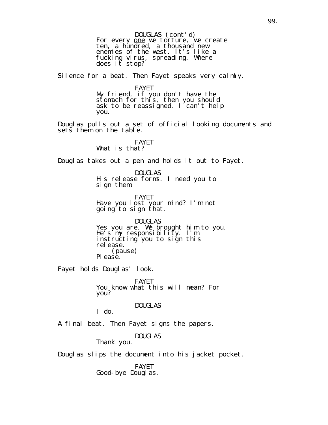For every <u>one</u> we torture, we create ten, a hundred, a thousand new enemies of the west. It's like a fucking virus, spreading. Where does it stop? DOUGLAS (cont'd)

Silence for a beat. Then Fayet speaks very calmly.

FAYET

My friend, if you don't have the stomach for this, then you should ask to be reassigned. I can't help you.

Douglas pulls out a set of official looking documents and sets them on the table.

#### FAYET What is that?

Douglas takes out a pen and holds it out to Fayet.

DOUGLAS His release forms. I need you to sign them.

FAYET Have you lost your mind? I'm not going to sign that.

DOUGLAS Yes you are. We brought him to you. He's my responsibility. I'm instructing you to sign this rel ease. (pause) PI ease.

Fayet holds Douglas' look.

FAYET You know what this will mean? For you?

DOUGLAS

I do.

A final beat. Then Fayet signs the papers.

DOUGLAS

Thank you.

Douglas slips the document into his jacket pocket.

FAYET Good-bye Douglas.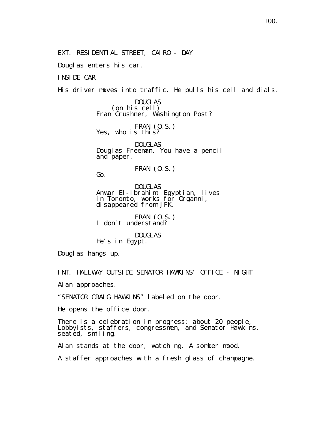EXT. RESIDENTIAL STREET, CAIRO - DAY

Douglas enters his car.

INSIDE CAR

His driver moves into traffic. He pulls his cell and dials.

DOUGLAS (on his cell) Fran Crushner, Washington Post?

FRAN (O.S.) Yes, who is this?

DOUGLAS Douglas Freeman. You have a pencil and paper.

FRAN (O.S.)

Go.

DOUGLAS Anwar El-Ibrahim. Egyptian, lives in Toronto, works fŏr Organni, disappeared from JFK.

FRAN (O.S.) I don't understand?

DOUGLAS He's in Egypt.

Dougl as hangs up.

INT. HALLWAY OUTSIDE SENATOR HAWKINS' OFFICE - NIGHT

Alan approaches.

"SENATOR CRAIG HAWKINS" labeled on the door.

He opens the office door.

There is a celebration in progress: about 20 people, Lobbyists, staffers, congressmen, and Senator Hawkins, seated, smiling.

Alan stands at the door, watching. A somber mood.

A staffer approaches with a fresh glass of champagne.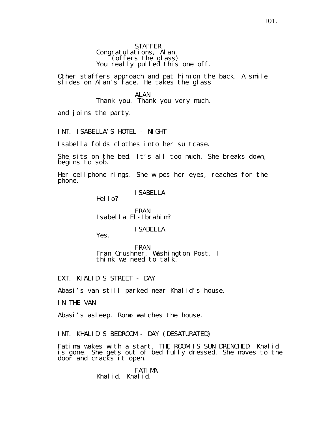#### **STAFFER** Congratulations, Alan. (offers the glass) You really pulled this one off.

Other staffers approach and pat him on the back. A smile slides on Alan's face. He takes the glass

### ALAN

Thank you. Thank you very much.

and joins the party.

INT. ISABELLA'S HOTEL - NIGHT

Isabella folds clothes into her suitcase.

She sits on the bed. It's all too much. She breaks down, begins to sob.

Her cellphone rings. She wipes her eyes, reaches for the phone.

ISABELLA

Hello?

FRAN Isabella El-Ibrahim?

ISABELLA

Yes.

FRAN Fran Crushner, Washington Post. I think we need to talk.

EXT. KHALID'S STREET - DAY

Abasi's van still parked near Khalid's house.

IN THE VAN

Abasi's asleep. Romo watches the house.

INT. KHALID'S BEDROOM - DAY (DESATURATED)

Fatima wakes with a start. THE ROOM IS SUN DRENCHED. Khalid is gone. She gets out of bed fully dressed. She moves to the door and cracks it open.

> FATIMA Khalid. Khalid.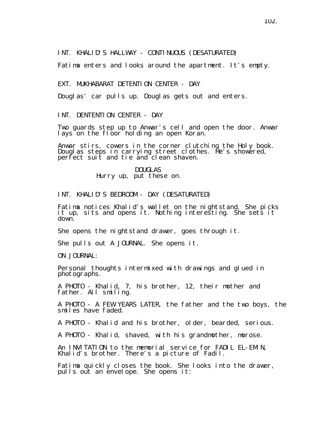INT. KHALID'S HALLWAY - CONTINUOUS (DESATURATED)

Fatima enters and looks around the apartment. It's empty.

EXT. MUKHABARAT DETENTION CENTER - DAY

Douglas' car pulls up. Douglas gets out and enters.

INT. DENTENTION CENTER - DAY

Two guards step up to Anwar's cell and open the door. Anwar lays on the floor holding an open Koran.

Anwar stirs, cowers in the corner clutching the Holy book. Douglas steps in carrying street clothes. He's showered, perfect suit and tie and clean shaven.

> DOUGLAS Hurry up, put these on.

INT. KHALID'S BEDROOM - DAY (DESATURATED)

Fatima notices Khalid's wallet on the nightstand. She picks it up, sits and opens it. Nothing interesting. She sets it down.

She opens the nightstand drawer, goes through it.

She pulls out A JOURNAL. She opens it.

ON JOURNAL:

Personal thoughts intermixed with drawings and glued in photographs.

A PHOTO - Khalid, 7, his brother, 12, their mother and father. All smiling.

A PHOTO - A FEW YEARS LATER, the father and the two boys, the smiles have faded.

A PHOTO - Khalid and his brother, older, bearded, serious.

A PHOTO - Khalid, shaved, with his grandmother, morose.

An INVITATION to the memorial service for FADIL EL-EMIN, Khalid's brother. There's a picture of Fadil.

Fatima quickly closes the book. She looks into the drawer, pulls out an envelope. She opens it: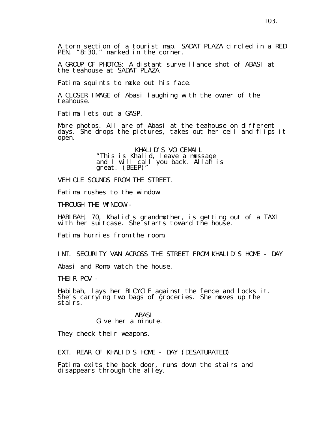A torn section of a tourist map. SADAT PLAZA circled in a RED PEN, "8:30," marked in the corner.

A GROUP OF PHOTOS: A distant surveillance shot of ABASI at the teahouse at SADAT PLAZA.

Fatima squints to make out his face.

A CLOSER IMAGE of Abasi laughing with the owner of the teahouse.

Fatima lets out a GASP.

More photos. All are of Abasi at the teahouse on different days. She drops the pictures, takes out her cell and flips it open.

> KHALID'S VOICEMAIL "This is Khalid, leave a message and I will call you back. Allah is great. (BEEP)"

VEHICLE SOUNDS FROM THE STREET.

Fatima rushes to the window.

THROUGH THE WINDOW -

HABIBAH, 70, Khalid's grandmother, is getting out of a TAXI with her suitcase. She~starts toward the house.

Fatima hurries from the room.

INT. SECURITY VAN ACROSS THE STREET FROM KHALID'S HOME - DAY

Abasi and Romo watch the house.

THEIR POV -

Habibah, lays her BICYCLE against the fence and locks it. She's carrying two bags of groceries. She moves up the stai rs.

#### ABASI Give her a minute.

They check their weapons.

EXT. REAR OF KHALID'S HOME - DAY (DESATURATED)

Fatima exits the back door, runs down the stairs and disappears through the alley.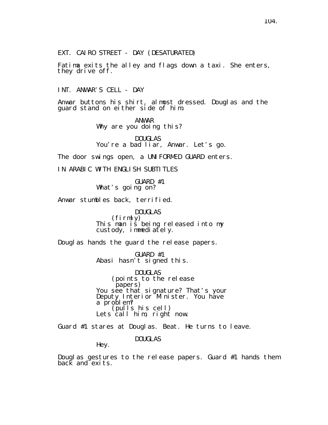EXT. CAIRO STREET - DAY (DESATURATED)

Fatima exits the alley and flags down a taxi. She enters, they drive off.

INT. ANWAR'S CELL - DAY

Anwar buttons his shirt, almost dressed. Douglas and the guard stand on either side of him.

> ANWAR Why are you doing this?

DOUGLAS You're a bad liar, Anwar. Let's go.

The door swings open, a UNIFORMED GUARD enters.

IN ARABIC WITH ENGLISH SUBTITLES

GUARD #1 What's going on?

Anwar stumbles back, terrified.

DOUGLAS (firmly) This man iš being released into my custody, immediately.

Douglas hands the guard the release papers.

GUARD #1 Abasi hasn't signed this.

DOUGLAS (points to the release papers) You see that signature? That's your Deputy Interior Minister. You have a problem? (pulls his cell) Lets call him, right now.

Guard #1 stares at Douglas. Beat. He turns to leave.

DOUGLAS

Hey.

Douglas gestures to the release papers. Guard #1 hands them back and exits.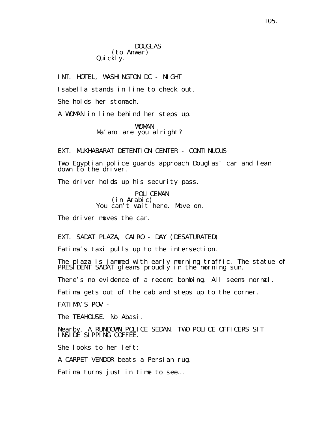DOUGLAS (to Anwar) Qui ckl y.

INT. HOTEL, WASHINGTON DC - NIGHT

Isabella stands in line to check out.

She holds her stomach.

A WOMAN in line behind her steps up.

WOMAN Ma'am, are you alright?

EXT. MUKHABARAT DETENTION CENTER - CONTINUOUS

Two Egyptian police guards approach Douglas' car and lean down to the driver.

The driver holds up his security pass.

POLI CEMAN (in Arabic) You can't wait here. Move on.

The driver moves the car.

EXT. SADAT PLAZA, CAIRO - DAY (DESATURATED)

Fatima's taxi pulls up to the intersection.

The plaza is jammed with early morning traffic. The statue of PRESIDENT SADAT gleams proudly in the morning sun.

There's no evidence of a recent bombing. All seems normal.

Fatima gets out of the cab and steps up to the corner.

FATIMA'S POV -

The TEAHOUSE. No Abasi.

Nearby, A RUNDOWN POLICE SEDAN. TWO POLICE OFFICERS SIT INSIDE SIPPING COFFEE.

She looks to her left:

A CARPET VENDOR beats a Persian rug.

Fatima turns just in time to see…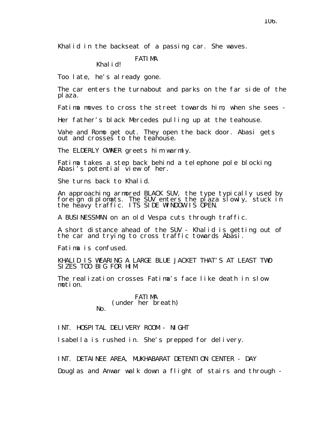### FATIMA

## Khalid!

Too late, he's already gone.

The car enters the turnabout and parks on the far side of the plaza.

Fatima moves to cross the street towards him, when she sees -

Her father's black Mercedes pulling up at the teahouse.

Vahe and Romo get out. They open the back door. Abasi gets out and crosses to the teahouse.

The ELDERLY OWNER greets him warmly.

Fatima takes a step back behind a telephone pole blocking Abasi's potential view of her.

She turns back to Khalid.

An approaching armored BLACK SUV, the type typically used by foreign diplomats. The SUV enters the plaza slowly, stuck in the heavy traffic. ITS SIDE WINDOW IS OPEN.

A BUSINESSMAN on an old Vespa cuts through traffic.

A short distance ahead of the SUV - Khalid is getting out of the car and trying to cross traffic towards Abasi.

Fatima is confused.

KHALID IS WEARING A LARGE BLUE JACKET THAT'S AT LEAST TWO SIZES TOO BIG FOR HIM.

The realization crosses Fatima's face like death in slow motion.

> FATIMA (under her breath) No.

INT. HOSPITAL DELIVERY ROOM - NIGHT

Isabella is rushed in. She's prepped for delivery.

INT. DETAINEE AREA, MUKHABARAT DETENTION CENTER - DAY

Douglas and Anwar walk down a flight of stairs and through -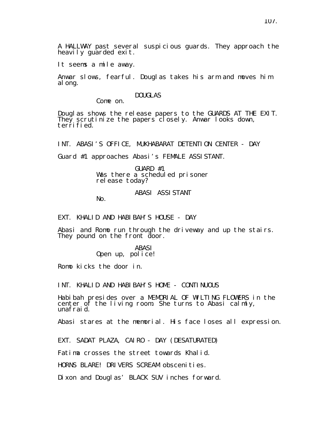It seems a mile away.

Anwar slows, fearful. Douglas takes his arm and moves him along.

## DOUGLAS

Come on.

Douglas shows the release papers to the GUARDS AT THE EXIT. Theỹ scrutinize the papers closely. Anwar looks down, terri fi ed.

INT. ABASI'S OFFICE, MUKHABARAT DETENTION CENTER - DAY

Guard #1 approaches Abasi's FEMALE ASSISTANT.

GUARD #1 Was there a scheduled prisoner release today?

## ABASI ASSISTANT

No.

EXT. KHALID AND HABIBAH'S HOUSE - DAY

Abasi and Romo run through the driveway and up the stairs. They pound on the front door.

> ABASI Open up, police!

Romo kicks the door in.

INT. KHALID AND HABIBAH'S HOME - CONTINUOUS

Habibah presides over a MEMORIAL OF WILTING FLOWERS in the center of the living room. She turns to Abasi calmly, unafraid.

Abasi stares at the memorial. His face loses all expression.

EXT. SADAT PLAZA, CAIRO - DAY (DESATURATED)

Fatima crosses the street towards Khalid.

HORNS BLARE! DRIVERS SCREAM obscenities.

Di xon and Douglas' BLACK SUV inches forward.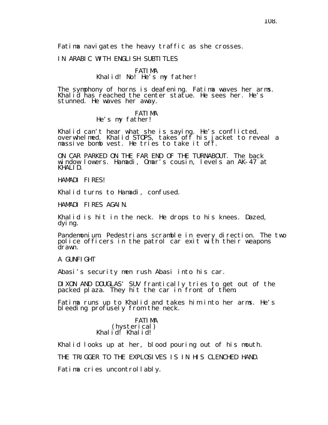Fatima navigates the heavy traffic as she crosses.

## IN ARABIC WITH ENGLISH SUBTITLES

#### FATIMA

# Khalid! No! He's my father!

The symphony of horns is deafening. Fatima waves her arms. Khalid has reached the center statue. He sees her. He's stunned. He waves her away.

### FATIMA

He's my father!

Khalid can't hear what she is saying. He's conflicted, overwhelmed. Khalid STOPS, takes off his jacket to reveal a massive bomb vest. He tries to take it off.

ON CAR PARKED ON THE FAR END OF THE TURNABOUT. The back window lowers. Hamadi, Omar's cousin, levels an AK-47 at KHALID.

HAMADI FIRES!

Khalid turns to Hamadi, confused.

HAMADI FIRES AGAIN.

Khalid is hit in the neck. He drops to his knees. Dazed, dying.

Pandemonium. Pedestrians scramble in every direction. The two police officers in the patrol car exit with their weapons drawn.

A GUNFIGHT

Abasi's security men rush Abasi into his car.

DIXON AND DOUGLAS' SUV frantically tries to get out of the packed plaza. They hit the car in front of them.

Fatima runs up to Khalid and takes him into her arms. He's bleeding profusely from the neck.

### FATIMA (hysterical) Khal i d! Khal i d!

Khalid looks up at her, blood pouring out of his mouth.

THE TRIGGER TO THE EXPLOSIVES IS IN HIS CLENCHED HAND.

Fatima cries uncontrollably.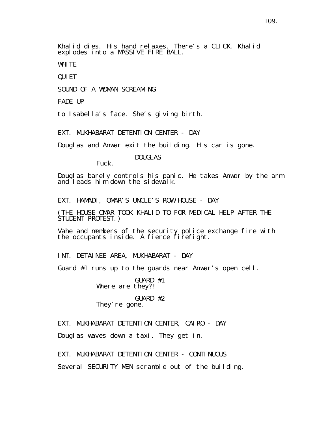Khalid dies. His hand relaxes. There's a CLICK. Khalid explodes into a MASSIVE FIRE BALL.

WHITE

QUI ET

SOUND OF A WOMAN SCREAMING

FADE UP

to Isabella's face. She's giving birth.

EXT. MUKHABARAT DETENTION CENTER - DAY

Douglas and Anwar exit the building. His car is gone.

DOUGLAS

Fuck.

Douglas barely controls his panic. He takes Anwar by the arm and leads him down the sidewalk.

EXT. HAMADI, OMAR'S UNCLE'S ROW HOUSE - DAY

(THE HOUSE OMAR TOOK KHALID TO FOR MEDICAL HELP AFTER THE STUDENT PROTEST.)

Vahe and members of the security police exchange fire with the occupants inside. A fierce firefight.

INT. DETAINEE AREA, MUKHABARAT - DAY

Guard #1 runs up to the guards near Anwar's open cell.

GUARD #1 Where are they?!

GUARD #2 They' re gone.

EXT. MUKHABARAT DETENTION CENTER, CAIRO - DAY

Douglas waves down a taxi. They get in.

EXT. MUKHABARAT DETENTION CENTER - CONTINUOUS

Several SECURITY MEN scramble out of the building.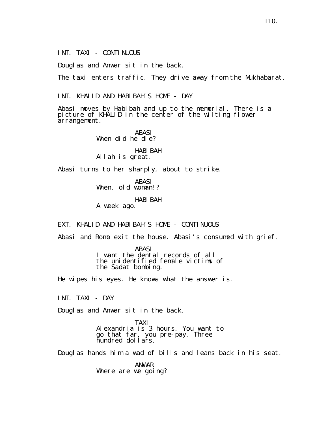INT. TAXI - CONTINUOUS

Douglas and Anwar sit in the back.

The taxi enters traffic. They drive away from the Mukhabarat.

INT. KHALID AND HABIBAH'S HOME - DAY

Abasi moves by Habibah and up to the memorial. There is a picture of KHALID in the center of the wilting flower arrangement.

ABASI When did he die? HABIBAH Allah is great. Abasi turns to her sharply, about to strike.

> ABASI When, old woman!?

> > HABIBAH

A week ago.

EXT. KHALID AND HABIBAH'S HOME - CONTINUOUS

Abasi and Romo exit the house. Abasi's consumed with grief.

ABASI I want the dental records of all the unidentified female victims of the Sadat bombing.

He wipes his eyes. He knows what the answer is.

INT. TAXI - DAY

Douglas and Anwar sit in the back.

TAXI Alexandria is 3 hours. You want to go that far, you pre-pay. Three hundred dollars.

Douglas hands him a wad of bills and leans back in his seat.

ANWAR Where are we going?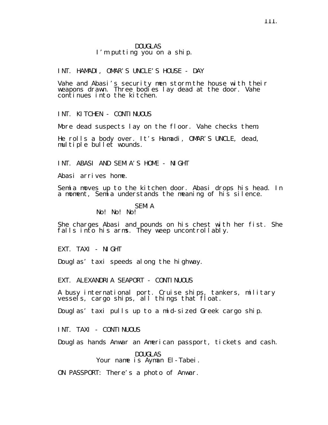INT. HAMADI, OMAR'S UNCLE'S HOUSE - DAY

Vahe and Abasi's security men storm the house with their weapons drawn. Three bodíes lay dead at the door. Vahe continues into the kitchen.

INT. KITCHEN - CONTINUOUS

More dead suspects lay on the floor. Vahe checks them.

He rolls a body over. It's Hamadi, OMAR'S UNCLE, dead, multiple bullet wounds.

INT. ABASI AND SEMIA'S HOME - NIGHT

Abasi arrives home.

Semia moves up to the kitchen door. Abasi drops his head. In a moment, Semia understands the meaning of his silence.

> SEMIA No! No! No!

She charges Abasi and pounds on his chest with her fist. She falls into his arms. They weep uncontrollably.

EXT. TAXI - NIGHT

Douglas' taxi speeds along the highway.

EXT. ALEXANDRIA SEAPORT - CONTINUOUS

A busy international port. Cruise ships, tankers, military vessels, cargo ships, all things that float.

Douglas' taxi pulls up to a mid-sized Greek cargo ship.

INT. TAXI - CONTINUOUS

Douglas hands Anwar an American passport, tickets and cash.

DOUGLAS Your name is Ayman El-Tabei.

ON PASSPORT: There's a photo of Anwar.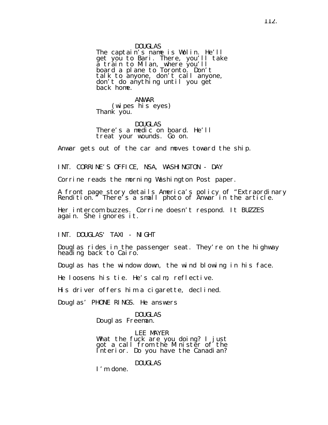The captain's name is Wolin. He'll get you to Bari. There, you'll take a train to Milan, where you'll board a plane to Toronto. Don't talk to anyone, don't call anyone, don't do añything until you gĕt back home.

ANWAR (wipes his eyes) Thank you.

DOUGLAS There's a medic on board. He'll treat your wounds. Go on.

Anwar gets out of the car and moves toward the ship.

INT. CORRINE'S OFFICE, NSA, WASHINGTON - DAY

Corrine reads the morning Washington Post paper.

A front page story details America's policy of "Extraordinary Rendition." There's a small photo of Anwar in the article.

Her intercom buzzes. Corrine doesn't respond. It BUZZES again. She ignores it.

INT. DOUGLAS' TAXI - NIGHT

Douglas rides in the passenger seat. They're on the highway heading back to Cairo.

Douglas has the window down, the wind blowing in his face.

He loosens his tie. He's calm, reflective.

His driver offers him a cigarette, declined.

Douglas' PHONE RINGS. He answers

DOUGLAS Douglas Freeman.

LEE MAYER What the fuck are you doing? I just got a call from the Minister of the Interior. Do you have the Canadian?

DOUGLAS

I'm done.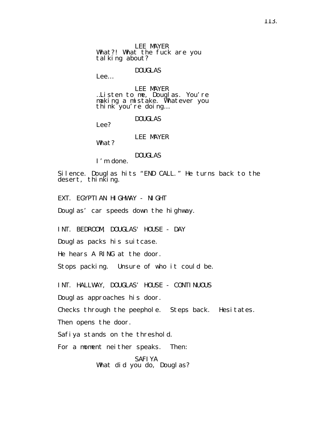DOUGLAS

Lee…

LEE MAYER …Listen to me, Douglas. You're making a mistake. Whatever you think you're doing...

DOUGLAS

Lee?

LEE MAYER

What?

DOUGLAS

I'm done.

Silence. Douglas hits "END CALL." He turns back to the desert, thinking.

EXT. EGYPTIAN HIGHWAY - NIGHT

Douglas' car speeds down the highway.

INT. BEDROOM, DOUGLAS' HOUSE - DAY

Douglas packs his suitcase.

He hears A RING at the door.

Stops packing. Unsure of who it could be.

INT. HALLWAY, DOUGLAS' HOUSE - CONTINUOUS

Douglas approaches his door.

Checks through the peephole. Steps back. Hesitates.

Then opens the door.

Safiya stands on the threshold.

For a moment neither speaks. Then:

SAFIYA What did you do, Douglas?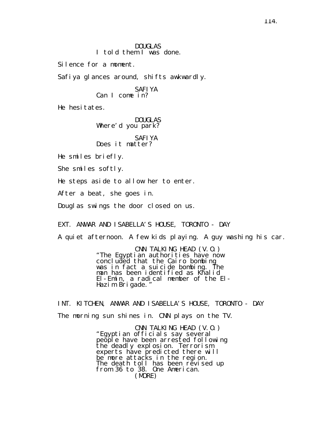DOUGLAS I told them I was done.

Silence for a moment.

Safiya glances around, shifts awkwardly.

SAFIYA Can I come in?

He hesitates.

DOUGLAS Where'd you park?

SAFIYA Does it matter?

He smiles briefly.

She smiles softly.

He steps aside to allow her to enter.

After a beat, she goes in.

Douglas swings the door closed on us.

EXT. ANWAR AND ISABELLA'S HOUSE, TORONTO - DAY

A quiet afternoon. A few kids playing. A guy washing his car.

CNN TALKING HEAD (V.O.) "The Egyptian authorities have now concluded that the Cairo bombing was in fact a suicide bombing. The man has been identified as Khalid El-Emin, a radical member of the El-Hazim Brigade."

INT. KITCHEN, ANWAR AND ISABELLA'S HOUSE, TORONTO - DAY The morning sun shines in. CNN plays on the TV.

> CNN TALKING HEAD (V.O.) "Egyptian officials say several people have been arrested following the deadly explosion. Terrorism experts have predicted there will be more attacks in the region. The death toll has been revised up from 36 to 38. One American. (MORE)